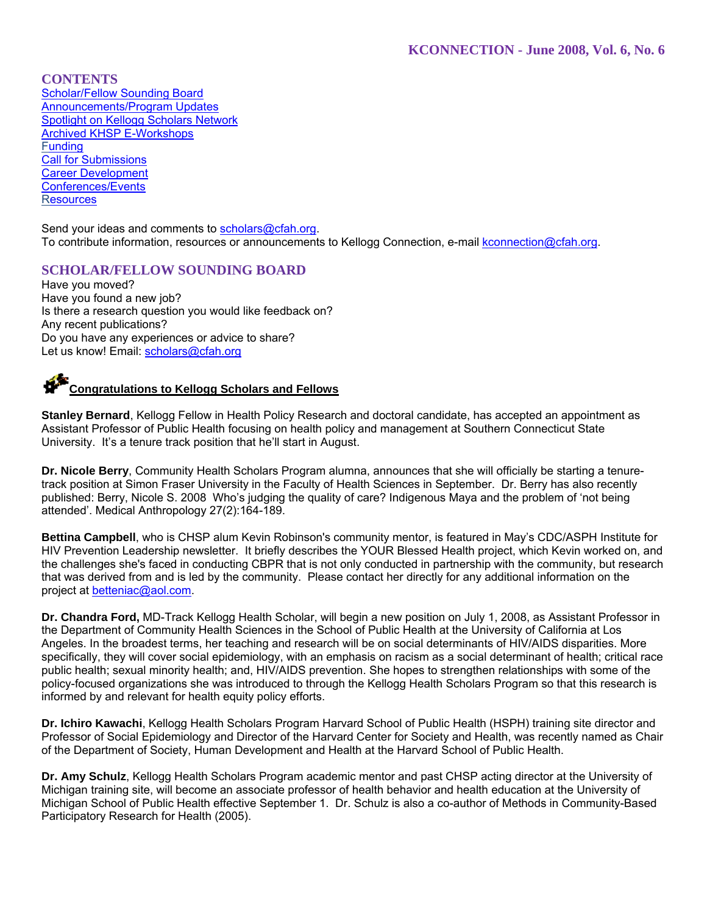**CONTENTS** Scholar/Fellow Sounding Board Announcements/Program Updates Spotlight on Kellogg Scholars Network Archived KHSP E-Workshops **Funding** Call for Submissions Career Development Conferences/Events **Resources** 

Send your ideas and comments to scholars@cfah.org. To contribute information, resources or announcements to Kellogg Connection, e-mail kconnection@cfah.org.

# **SCHOLAR/FELLOW SOUNDING BOARD**

Have you moved? Have you found a new job? Is there a research question you would like feedback on? Any recent publications? Do you have any experiences or advice to share? Let us know! Email: scholars@cfah.org

# **Congratulations to Kellogg Scholars and Fellows**

**Stanley Bernard**, Kellogg Fellow in Health Policy Research and doctoral candidate, has accepted an appointment as Assistant Professor of Public Health focusing on health policy and management at Southern Connecticut State University. It's a tenure track position that he'll start in August.

**Dr. Nicole Berry**, Community Health Scholars Program alumna, announces that she will officially be starting a tenuretrack position at Simon Fraser University in the Faculty of Health Sciences in September. Dr. Berry has also recently published: Berry, Nicole S. 2008 Who's judging the quality of care? Indigenous Maya and the problem of 'not being attended'. Medical Anthropology 27(2):164-189.

**Bettina Campbell**, who is CHSP alum Kevin Robinson's community mentor, is featured in May's CDC/ASPH Institute for HIV Prevention Leadership newsletter. It briefly describes the YOUR Blessed Health project, which Kevin worked on, and the challenges she's faced in conducting CBPR that is not only conducted in partnership with the community, but research that was derived from and is led by the community. Please contact her directly for any additional information on the project at betteniac@aol.com.

**Dr. Chandra Ford,** MD-Track Kellogg Health Scholar, will begin a new position on July 1, 2008, as Assistant Professor in the Department of Community Health Sciences in the School of Public Health at the University of California at Los Angeles. In the broadest terms, her teaching and research will be on social determinants of HIV/AIDS disparities. More specifically, they will cover social epidemiology, with an emphasis on racism as a social determinant of health; critical race public health; sexual minority health; and, HIV/AIDS prevention. She hopes to strengthen relationships with some of the policy-focused organizations she was introduced to through the Kellogg Health Scholars Program so that this research is informed by and relevant for health equity policy efforts.

**Dr. Ichiro Kawachi**, Kellogg Health Scholars Program Harvard School of Public Health (HSPH) training site director and Professor of Social Epidemiology and Director of the Harvard Center for Society and Health, was recently named as Chair of the Department of Society, Human Development and Health at the Harvard School of Public Health.

**Dr. Amy Schulz**, Kellogg Health Scholars Program academic mentor and past CHSP acting director at the University of Michigan training site, will become an associate professor of health behavior and health education at the University of Michigan School of Public Health effective September 1. Dr. Schulz is also a co-author of Methods in Community-Based Participatory Research for Health (2005).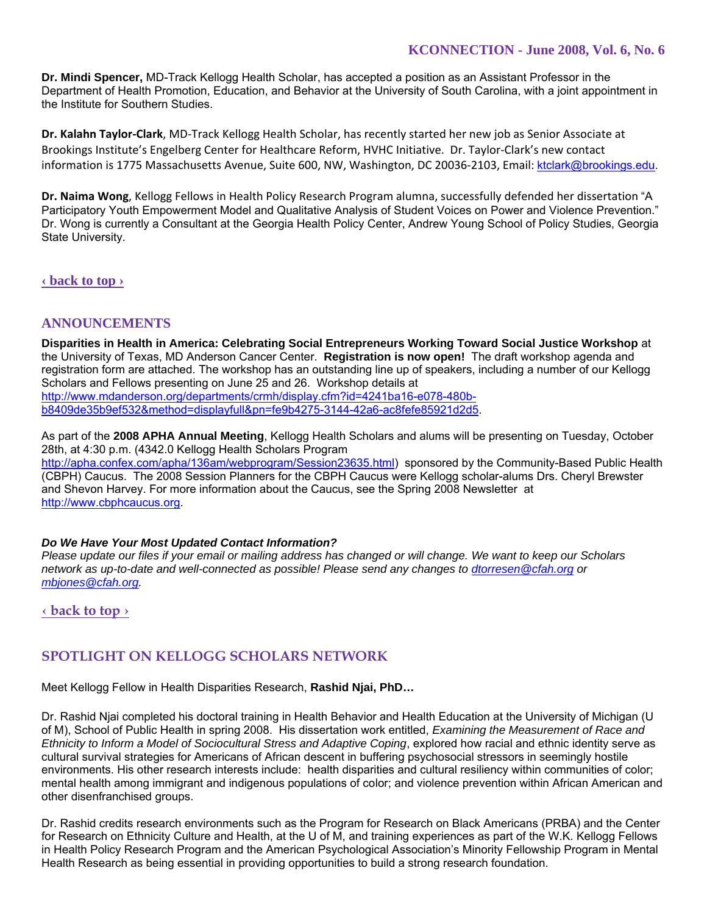**Dr. Mindi Spencer,** MD-Track Kellogg Health Scholar, has accepted a position as an Assistant Professor in the Department of Health Promotion, Education, and Behavior at the University of South Carolina, with a joint appointment in the Institute for Southern Studies.

**Dr. Kalahn Taylor‐Clark**, MD‐Track Kellogg Health Scholar, has recently started her new job as Senior Associate at Brookings Institute's Engelberg Center for Healthcare Reform, HVHC Initiative. Dr. Taylor‐Clark's new contact information is 1775 Massachusetts Avenue, Suite 600, NW, Washington, DC 20036‐2103, Email: ktclark@brookings.edu.

**Dr. Naima Wong**, Kellogg Fellows in Health Policy Research Program alumna, successfully defended her dissertation "A Participatory Youth Empowerment Model and Qualitative Analysis of Student Voices on Power and Violence Prevention." Dr. Wong is currently a Consultant at the Georgia Health Policy Center, Andrew Young School of Policy Studies, Georgia State University.

**‹ back to top ›**

# **ANNOUNCEMENTS**

**Disparities in Health in America: Celebrating Social Entrepreneurs Working Toward Social Justice Workshop** at the University of Texas, MD Anderson Cancer Center. **Registration is now open!** The draft workshop agenda and registration form are attached. The workshop has an outstanding line up of speakers, including a number of our Kellogg Scholars and Fellows presenting on June 25 and 26. Workshop details at http://www.mdanderson.org/departments/crmh/display.cfm?id=4241ba16-e078-480bb8409de35b9ef532&method=displayfull&pn=fe9b4275-3144-42a6-ac8fefe85921d2d5.

As part of the **2008 APHA Annual Meeting**, Kellogg Health Scholars and alums will be presenting on Tuesday, October 28th, at 4:30 p.m. (4342.0 Kellogg Health Scholars Program

http://apha.confex.com/apha/136am/webprogram/Session23635.html) sponsored by the Community-Based Public Health (CBPH) Caucus. The 2008 Session Planners for the CBPH Caucus were Kellogg scholar-alums Drs. Cheryl Brewster and Shevon Harvey. For more information about the Caucus, see the Spring 2008 Newsletter at http://www.cbphcaucus.org.

#### *Do We Have Your Most Updated Contact Information?*

*Please update our files if your email or mailing address has changed or will change. We want to keep our Scholars network as up-to-date and well-connected as possible! Please send any changes to dtorresen@cfah.org or mbjones@cfah.org.* 

**‹ back to top ›**

# **SPOTLIGHT ON KELLOGG SCHOLARS NETWORK**

Meet Kellogg Fellow in Health Disparities Research, **Rashid Njai, PhD…**

Dr. Rashid Njai completed his doctoral training in Health Behavior and Health Education at the University of Michigan (U of M), School of Public Health in spring 2008. His dissertation work entitled, *Examining the Measurement of Race and Ethnicity to Inform a Model of Sociocultural Stress and Adaptive Coping*, explored how racial and ethnic identity serve as cultural survival strategies for Americans of African descent in buffering psychosocial stressors in seemingly hostile environments. His other research interests include: health disparities and cultural resiliency within communities of color; mental health among immigrant and indigenous populations of color; and violence prevention within African American and other disenfranchised groups.

Dr. Rashid credits research environments such as the Program for Research on Black Americans (PRBA) and the Center for Research on Ethnicity Culture and Health, at the U of M, and training experiences as part of the W.K. Kellogg Fellows in Health Policy Research Program and the American Psychological Association's Minority Fellowship Program in Mental Health Research as being essential in providing opportunities to build a strong research foundation.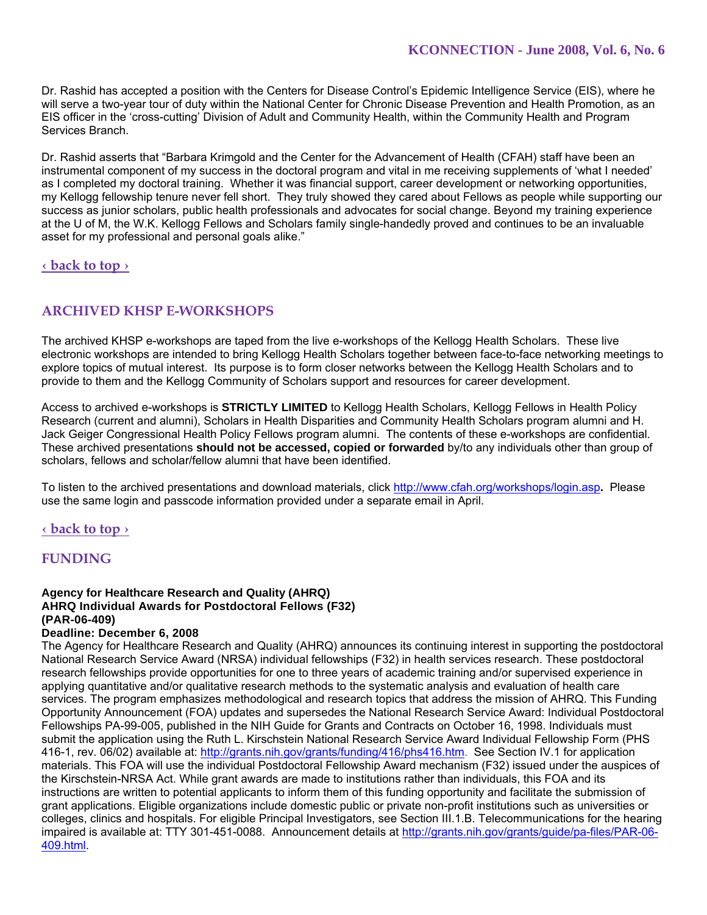Dr. Rashid has accepted a position with the Centers for Disease Control's Epidemic Intelligence Service (EIS), where he will serve a two-year tour of duty within the National Center for Chronic Disease Prevention and Health Promotion, as an EIS officer in the 'cross-cutting' Division of Adult and Community Health, within the Community Health and Program Services Branch.

Dr. Rashid asserts that "Barbara Krimgold and the Center for the Advancement of Health (CFAH) staff have been an instrumental component of my success in the doctoral program and vital in me receiving supplements of 'what I needed' as I completed my doctoral training. Whether it was financial support, career development or networking opportunities, my Kellogg fellowship tenure never fell short. They truly showed they cared about Fellows as people while supporting our success as junior scholars, public health professionals and advocates for social change. Beyond my training experience at the U of M, the W.K. Kellogg Fellows and Scholars family single-handedly proved and continues to be an invaluable asset for my professional and personal goals alike."

# **‹ back to top ›**

# **ARCHIVED KHSP E-WORKSHOPS**

The archived KHSP e-workshops are taped from the live e-workshops of the Kellogg Health Scholars. These live electronic workshops are intended to bring Kellogg Health Scholars together between face-to-face networking meetings to explore topics of mutual interest. Its purpose is to form closer networks between the Kellogg Health Scholars and to provide to them and the Kellogg Community of Scholars support and resources for career development.

Access to archived e-workshops is **STRICTLY LIMITED** to Kellogg Health Scholars, Kellogg Fellows in Health Policy Research (current and alumni), Scholars in Health Disparities and Community Health Scholars program alumni and H. Jack Geiger Congressional Health Policy Fellows program alumni. The contents of these e-workshops are confidential. These archived presentations **should not be accessed, copied or forwarded** by/to any individuals other than group of scholars, fellows and scholar/fellow alumni that have been identified.

To listen to the archived presentations and download materials, click http://www.cfah.org/workshops/login.asp**.** Please use the same login and passcode information provided under a separate email in April.

## **‹ back to top ›**

# **FUNDING**

## **Agency for Healthcare Research and Quality (AHRQ) AHRQ Individual Awards for Postdoctoral Fellows (F32) (PAR-06-409)**

# **Deadline: December 6, 2008**

The Agency for Healthcare Research and Quality (AHRQ) announces its continuing interest in supporting the postdoctoral National Research Service Award (NRSA) individual fellowships (F32) in health services research. These postdoctoral research fellowships provide opportunities for one to three years of academic training and/or supervised experience in applying quantitative and/or qualitative research methods to the systematic analysis and evaluation of health care services. The program emphasizes methodological and research topics that address the mission of AHRQ. This Funding Opportunity Announcement (FOA) updates and supersedes the National Research Service Award: Individual Postdoctoral Fellowships PA-99-005, published in the NIH Guide for Grants and Contracts on October 16, 1998. Individuals must submit the application using the Ruth L. Kirschstein National Research Service Award Individual Fellowship Form (PHS 416-1, rev. 06/02) available at: http://grants.nih.gov/grants/funding/416/phs416.htm. See Section IV.1 for application materials. This FOA will use the individual Postdoctoral Fellowship Award mechanism (F32) issued under the auspices of the Kirschstein-NRSA Act. While grant awards are made to institutions rather than individuals, this FOA and its instructions are written to potential applicants to inform them of this funding opportunity and facilitate the submission of grant applications. Eligible organizations include domestic public or private non-profit institutions such as universities or colleges, clinics and hospitals. For eligible Principal Investigators, see Section III.1.B. Telecommunications for the hearing impaired is available at: TTY 301-451-0088. Announcement details at http://grants.nih.gov/grants/guide/pa-files/PAR-06- 409.html.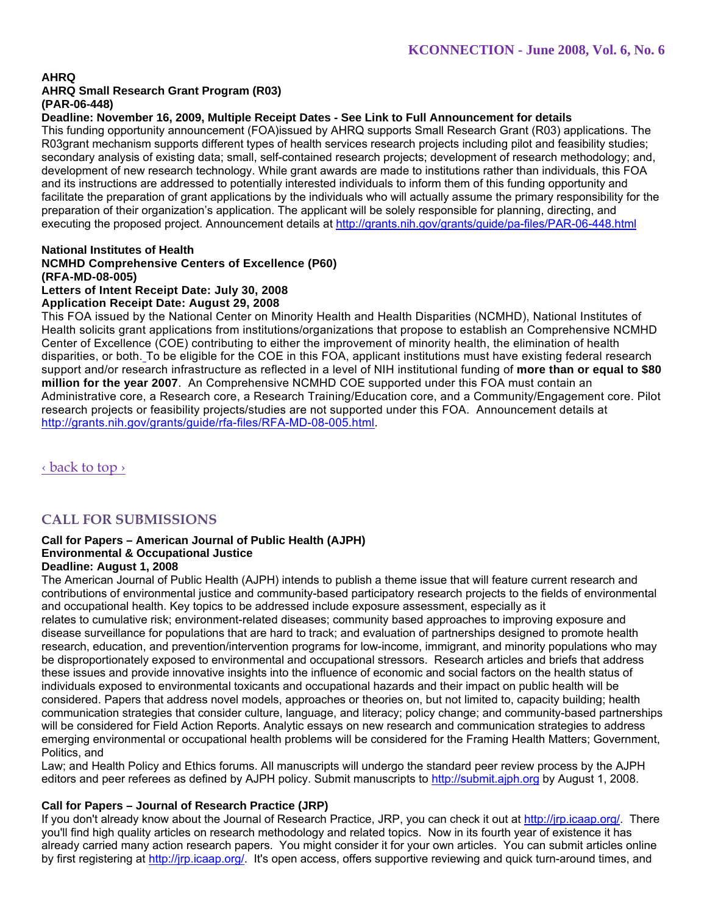#### **AHRQ AHRQ Small Research Grant Program (R03) (PAR-06-448)**

## **Deadline: November 16, 2009, Multiple Receipt Dates - See Link to Full Announcement for details**

This funding opportunity announcement (FOA)issued by AHRQ supports Small Research Grant (R03) applications. The R03grant mechanism supports different types of health services research projects including pilot and feasibility studies; secondary analysis of existing data; small, self-contained research projects; development of research methodology; and, development of new research technology. While grant awards are made to institutions rather than individuals, this FOA and its instructions are addressed to potentially interested individuals to inform them of this funding opportunity and facilitate the preparation of grant applications by the individuals who will actually assume the primary responsibility for the preparation of their organization's application. The applicant will be solely responsible for planning, directing, and executing the proposed project. Announcement details at http://grants.nih.gov/grants/guide/pa-files/PAR-06-448.html

#### **National Institutes of Health NCMHD Comprehensive Centers of Excellence (P60) (RFA-MD-08-005) Letters of Intent Receipt Date: July 30, 2008 Application Receipt Date: August 29, 2008**

This FOA issued by the National Center on Minority Health and Health Disparities (NCMHD), National Institutes of Health solicits grant applications from institutions/organizations that propose to establish an Comprehensive NCMHD Center of Excellence (COE) contributing to either the improvement of minority health, the elimination of health disparities, or both. To be eligible for the COE in this FOA, applicant institutions must have existing federal research support and/or research infrastructure as reflected in a level of NIH institutional funding of **more than or equal to \$80 million for the year 2007**. An Comprehensive NCMHD COE supported under this FOA must contain an Administrative core, a Research core, a Research Training/Education core, and a Community/Engagement core. Pilot research projects or feasibility projects/studies are not supported under this FOA. Announcement details at http://grants.nih.gov/grants/guide/rfa-files/RFA-MD-08-005.html.

 $\triangle$  back to top  $\triangleright$ 

# **CALL FOR SUBMISSIONS**

# **Call for Papers – American Journal of Public Health (AJPH) Environmental & Occupational Justice**

# **Deadline: August 1, 2008**

The American Journal of Public Health (AJPH) intends to publish a theme issue that will feature current research and contributions of environmental justice and community-based participatory research projects to the fields of environmental and occupational health. Key topics to be addressed include exposure assessment, especially as it relates to cumulative risk; environment-related diseases; community based approaches to improving exposure and disease surveillance for populations that are hard to track; and evaluation of partnerships designed to promote health research, education, and prevention/intervention programs for low-income, immigrant, and minority populations who may be disproportionately exposed to environmental and occupational stressors. Research articles and briefs that address these issues and provide innovative insights into the influence of economic and social factors on the health status of individuals exposed to environmental toxicants and occupational hazards and their impact on public health will be considered. Papers that address novel models, approaches or theories on, but not limited to, capacity building; health communication strategies that consider culture, language, and literacy; policy change; and community-based partnerships will be considered for Field Action Reports. Analytic essays on new research and communication strategies to address emerging environmental or occupational health problems will be considered for the Framing Health Matters; Government, Politics, and

Law; and Health Policy and Ethics forums. All manuscripts will undergo the standard peer review process by the AJPH editors and peer referees as defined by AJPH policy. Submit manuscripts to http://submit.ajph.org by August 1, 2008.

#### **Call for Papers – Journal of Research Practice (JRP)**

If you don't already know about the Journal of Research Practice, JRP, you can check it out at http://jrp.icaap.org/. There you'll find high quality articles on research methodology and related topics. Now in its fourth year of existence it has already carried many action research papers. You might consider it for your own articles. You can submit articles online by first registering at http://jrp.icaap.org/. It's open access, offers supportive reviewing and quick turn-around times, and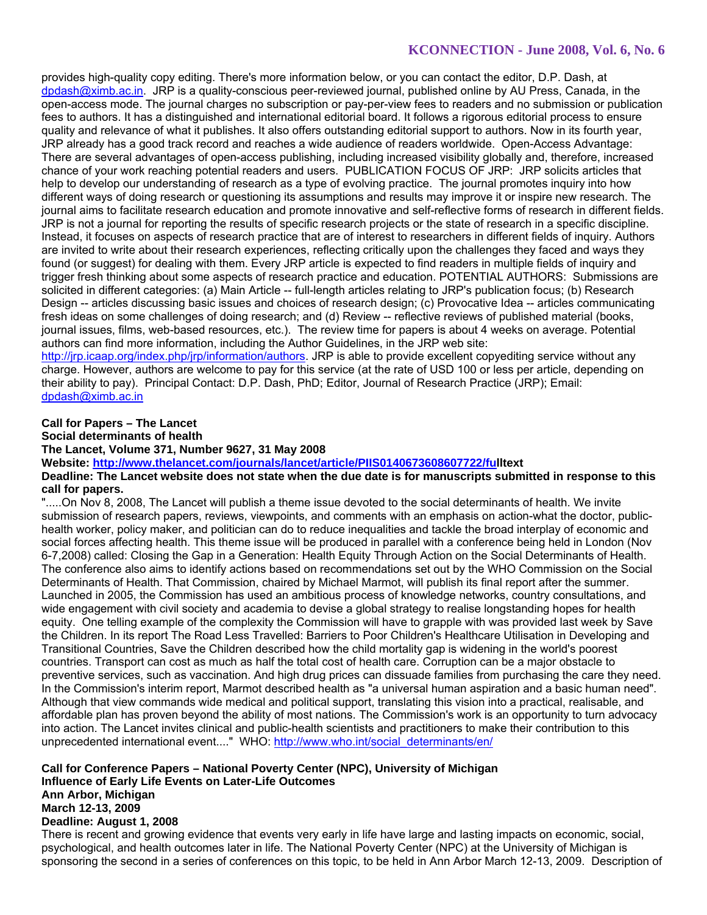provides high-quality copy editing. There's more information below, or you can contact the editor, D.P. Dash, at dpdash@ximb.ac.in. JRP is a quality-conscious peer-reviewed journal, published online by AU Press, Canada, in the open-access mode. The journal charges no subscription or pay-per-view fees to readers and no submission or publication fees to authors. It has a distinguished and international editorial board. It follows a rigorous editorial process to ensure quality and relevance of what it publishes. It also offers outstanding editorial support to authors. Now in its fourth year, JRP already has a good track record and reaches a wide audience of readers worldwide. Open-Access Advantage: There are several advantages of open-access publishing, including increased visibility globally and, therefore, increased chance of your work reaching potential readers and users. PUBLICATION FOCUS OF JRP: JRP solicits articles that help to develop our understanding of research as a type of evolving practice. The journal promotes inquiry into how different ways of doing research or questioning its assumptions and results may improve it or inspire new research. The journal aims to facilitate research education and promote innovative and self-reflective forms of research in different fields. JRP is not a journal for reporting the results of specific research projects or the state of research in a specific discipline. Instead, it focuses on aspects of research practice that are of interest to researchers in different fields of inquiry. Authors are invited to write about their research experiences, reflecting critically upon the challenges they faced and ways they found (or suggest) for dealing with them. Every JRP article is expected to find readers in multiple fields of inquiry and trigger fresh thinking about some aspects of research practice and education. POTENTIAL AUTHORS: Submissions are solicited in different categories: (a) Main Article -- full-length articles relating to JRP's publication focus; (b) Research Design -- articles discussing basic issues and choices of research design; (c) Provocative Idea -- articles communicating fresh ideas on some challenges of doing research; and (d) Review -- reflective reviews of published material (books, journal issues, films, web-based resources, etc.). The review time for papers is about 4 weeks on average. Potential authors can find more information, including the Author Guidelines, in the JRP web site: http://jrp.icaap.org/index.php/jrp/information/authors. JRP is able to provide excellent copyediting service without any

charge. However, authors are welcome to pay for this service (at the rate of USD 100 or less per article, depending on their ability to pay). Principal Contact: D.P. Dash, PhD; Editor, Journal of Research Practice (JRP); Email: dpdash@ximb.ac.in

# **Call for Papers – The Lancet**

**Social determinants of health** 

**The Lancet, Volume 371, Number 9627, 31 May 2008** 

**Website: http://www.thelancet.com/journals/lancet/article/PIIS0140673608607722/fulltext** 

### **Deadline: The Lancet website does not state when the due date is for manuscripts submitted in response to this call for papers.**

".....On Nov 8, 2008, The Lancet will publish a theme issue devoted to the social determinants of health. We invite submission of research papers, reviews, viewpoints, and comments with an emphasis on action-what the doctor, publichealth worker, policy maker, and politician can do to reduce inequalities and tackle the broad interplay of economic and social forces affecting health. This theme issue will be produced in parallel with a conference being held in London (Nov 6-7,2008) called: Closing the Gap in a Generation: Health Equity Through Action on the Social Determinants of Health. The conference also aims to identify actions based on recommendations set out by the WHO Commission on the Social Determinants of Health. That Commission, chaired by Michael Marmot, will publish its final report after the summer. Launched in 2005, the Commission has used an ambitious process of knowledge networks, country consultations, and wide engagement with civil society and academia to devise a global strategy to realise longstanding hopes for health equity. One telling example of the complexity the Commission will have to grapple with was provided last week by Save the Children. In its report The Road Less Travelled: Barriers to Poor Children's Healthcare Utilisation in Developing and Transitional Countries, Save the Children described how the child mortality gap is widening in the world's poorest countries. Transport can cost as much as half the total cost of health care. Corruption can be a major obstacle to preventive services, such as vaccination. And high drug prices can dissuade families from purchasing the care they need. In the Commission's interim report, Marmot described health as "a universal human aspiration and a basic human need". Although that view commands wide medical and political support, translating this vision into a practical, realisable, and affordable plan has proven beyond the ability of most nations. The Commission's work is an opportunity to turn advocacy into action. The Lancet invites clinical and public-health scientists and practitioners to make their contribution to this unprecedented international event...." WHO: http://www.who.int/social\_determinants/en/

#### **Call for Conference Papers – National Poverty Center (NPC), University of Michigan Influence of Early Life Events on Later-Life Outcomes Ann Arbor, Michigan March 12-13, 2009 Deadline: August 1, 2008**

There is recent and growing evidence that events very early in life have large and lasting impacts on economic, social, psychological, and health outcomes later in life. The National Poverty Center (NPC) at the University of Michigan is sponsoring the second in a series of conferences on this topic, to be held in Ann Arbor March 12-13, 2009. Description of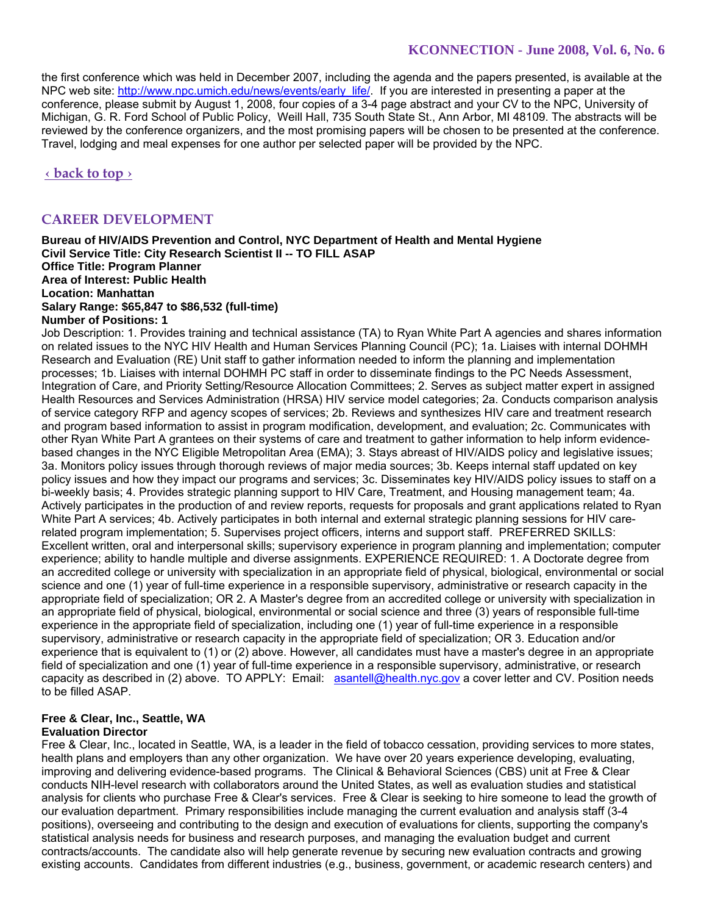the first conference which was held in December 2007, including the agenda and the papers presented, is available at the NPC web site: http://www.npc.umich.edu/news/events/early\_life/. If you are interested in presenting a paper at the conference, please submit by August 1, 2008, four copies of a 3-4 page abstract and your CV to the NPC, University of Michigan, G. R. Ford School of Public Policy, Weill Hall, 735 South State St., Ann Arbor, MI 48109. The abstracts will be reviewed by the conference organizers, and the most promising papers will be chosen to be presented at the conference. Travel, lodging and meal expenses for one author per selected paper will be provided by the NPC.

**‹ back to top ›**

# **CAREER DEVELOPMENT**

**Bureau of HIV/AIDS Prevention and Control, NYC Department of Health and Mental Hygiene Civil Service Title: City Research Scientist II -- TO FILL ASAP Office Title: Program Planner Area of Interest: Public Health Location: Manhattan Salary Range: \$65,847 to \$86,532 (full-time) Number of Positions: 1** 

Job Description: 1. Provides training and technical assistance (TA) to Ryan White Part A agencies and shares information on related issues to the NYC HIV Health and Human Services Planning Council (PC); 1a. Liaises with internal DOHMH Research and Evaluation (RE) Unit staff to gather information needed to inform the planning and implementation processes; 1b. Liaises with internal DOHMH PC staff in order to disseminate findings to the PC Needs Assessment, Integration of Care, and Priority Setting/Resource Allocation Committees; 2. Serves as subject matter expert in assigned Health Resources and Services Administration (HRSA) HIV service model categories; 2a. Conducts comparison analysis of service category RFP and agency scopes of services; 2b. Reviews and synthesizes HIV care and treatment research and program based information to assist in program modification, development, and evaluation; 2c. Communicates with other Ryan White Part A grantees on their systems of care and treatment to gather information to help inform evidencebased changes in the NYC Eligible Metropolitan Area (EMA); 3. Stays abreast of HIV/AIDS policy and legislative issues; 3a. Monitors policy issues through thorough reviews of major media sources; 3b. Keeps internal staff updated on key policy issues and how they impact our programs and services; 3c. Disseminates key HIV/AIDS policy issues to staff on a bi-weekly basis; 4. Provides strategic planning support to HIV Care, Treatment, and Housing management team; 4a. Actively participates in the production of and review reports, requests for proposals and grant applications related to Ryan White Part A services; 4b. Actively participates in both internal and external strategic planning sessions for HIV carerelated program implementation; 5. Supervises project officers, interns and support staff. PREFERRED SKILLS: Excellent written, oral and interpersonal skills; supervisory experience in program planning and implementation; computer experience; ability to handle multiple and diverse assignments. EXPERIENCE REQUIRED: 1. A Doctorate degree from an accredited college or university with specialization in an appropriate field of physical, biological, environmental or social science and one (1) year of full-time experience in a responsible supervisory, administrative or research capacity in the appropriate field of specialization; OR 2. A Master's degree from an accredited college or university with specialization in an appropriate field of physical, biological, environmental or social science and three (3) years of responsible full-time experience in the appropriate field of specialization, including one (1) year of full-time experience in a responsible supervisory, administrative or research capacity in the appropriate field of specialization; OR 3. Education and/or experience that is equivalent to (1) or (2) above. However, all candidates must have a master's degree in an appropriate field of specialization and one (1) year of full-time experience in a responsible supervisory, administrative, or research capacity as described in (2) above. TO APPLY: Email: asantell@health.nyc.gov a cover letter and CV. Position needs to be filled ASAP.

#### **Free & Clear, Inc., Seattle, WA Evaluation Director**

Free & Clear, Inc., located in Seattle, WA, is a leader in the field of tobacco cessation, providing services to more states, health plans and employers than any other organization. We have over 20 years experience developing, evaluating, improving and delivering evidence-based programs. The Clinical & Behavioral Sciences (CBS) unit at Free & Clear conducts NIH-level research with collaborators around the United States, as well as evaluation studies and statistical analysis for clients who purchase Free & Clear's services. Free & Clear is seeking to hire someone to lead the growth of our evaluation department. Primary responsibilities include managing the current evaluation and analysis staff (3-4 positions), overseeing and contributing to the design and execution of evaluations for clients, supporting the company's statistical analysis needs for business and research purposes, and managing the evaluation budget and current contracts/accounts. The candidate also will help generate revenue by securing new evaluation contracts and growing existing accounts. Candidates from different industries (e.g., business, government, or academic research centers) and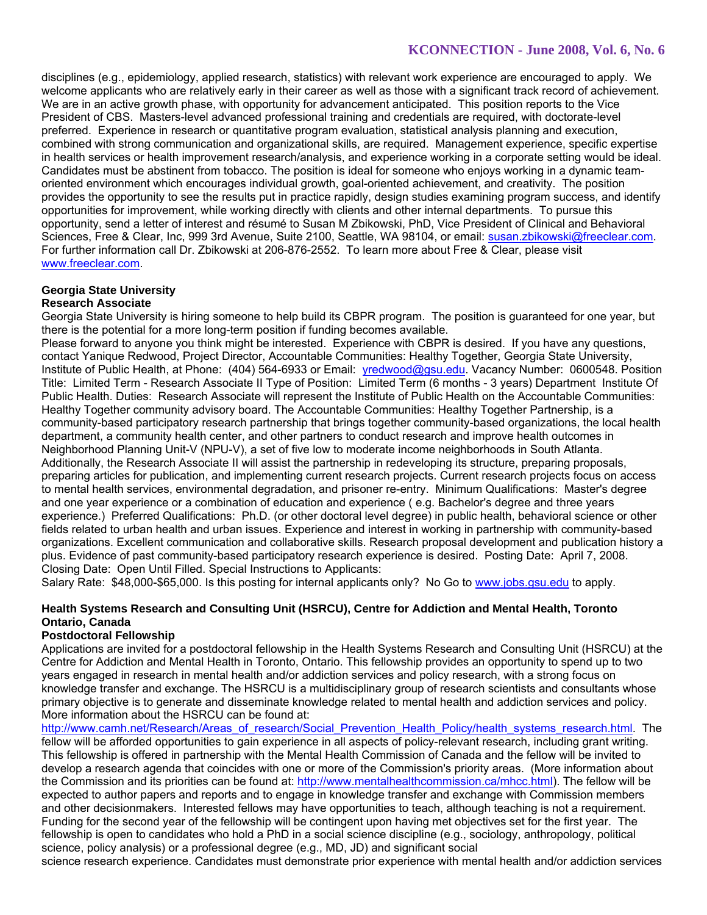disciplines (e.g., epidemiology, applied research, statistics) with relevant work experience are encouraged to apply. We welcome applicants who are relatively early in their career as well as those with a significant track record of achievement. We are in an active growth phase, with opportunity for advancement anticipated. This position reports to the Vice President of CBS. Masters-level advanced professional training and credentials are required, with doctorate-level preferred. Experience in research or quantitative program evaluation, statistical analysis planning and execution, combined with strong communication and organizational skills, are required. Management experience, specific expertise in health services or health improvement research/analysis, and experience working in a corporate setting would be ideal. Candidates must be abstinent from tobacco. The position is ideal for someone who enjoys working in a dynamic teamoriented environment which encourages individual growth, goal-oriented achievement, and creativity. The position provides the opportunity to see the results put in practice rapidly, design studies examining program success, and identify opportunities for improvement, while working directly with clients and other internal departments. To pursue this opportunity, send a letter of interest and résumé to Susan M Zbikowski, PhD, Vice President of Clinical and Behavioral Sciences, Free & Clear, Inc, 999 3rd Avenue, Suite 2100, Seattle, WA 98104, or email: susan.zbikowski@freeclear.com. For further information call Dr. Zbikowski at 206-876-2552. To learn more about Free & Clear, please visit www.freeclear.com.

# **Georgia State University**

## **Research Associate**

Georgia State University is hiring someone to help build its CBPR program. The position is guaranteed for one year, but there is the potential for a more long-term position if funding becomes available.

Please forward to anyone you think might be interested. Experience with CBPR is desired. If you have any questions, contact Yanique Redwood, Project Director, Accountable Communities: Healthy Together, Georgia State University, Institute of Public Health, at Phone: (404) 564-6933 or Email: yredwood@gsu.edu. Vacancy Number: 0600548. Position Title: Limited Term - Research Associate II Type of Position: Limited Term (6 months - 3 years) Department Institute Of Public Health. Duties: Research Associate will represent the Institute of Public Health on the Accountable Communities: Healthy Together community advisory board. The Accountable Communities: Healthy Together Partnership, is a community-based participatory research partnership that brings together community-based organizations, the local health department, a community health center, and other partners to conduct research and improve health outcomes in Neighborhood Planning Unit-V (NPU-V), a set of five low to moderate income neighborhoods in South Atlanta. Additionally, the Research Associate II will assist the partnership in redeveloping its structure, preparing proposals, preparing articles for publication, and implementing current research projects. Current research projects focus on access to mental health services, environmental degradation, and prisoner re-entry. Minimum Qualifications: Master's degree and one year experience or a combination of education and experience ( e.g. Bachelor's degree and three years experience.) Preferred Qualifications: Ph.D. (or other doctoral level degree) in public health, behavioral science or other fields related to urban health and urban issues. Experience and interest in working in partnership with community-based organizations. Excellent communication and collaborative skills. Research proposal development and publication history a plus. Evidence of past community-based participatory research experience is desired. Posting Date: April 7, 2008. Closing Date: Open Until Filled. Special Instructions to Applicants:

Salary Rate: \$48,000-\$65,000. Is this posting for internal applicants only? No Go to www.jobs.gsu.edu to apply.

# **Health Systems Research and Consulting Unit (HSRCU), Centre for Addiction and Mental Health, Toronto Ontario, Canada**

## **Postdoctoral Fellowship**

Applications are invited for a postdoctoral fellowship in the Health Systems Research and Consulting Unit (HSRCU) at the Centre for Addiction and Mental Health in Toronto, Ontario. This fellowship provides an opportunity to spend up to two years engaged in research in mental health and/or addiction services and policy research, with a strong focus on knowledge transfer and exchange. The HSRCU is a multidisciplinary group of research scientists and consultants whose primary objective is to generate and disseminate knowledge related to mental health and addiction services and policy. More information about the HSRCU can be found at:

http://www.camh.net/Research/Areas\_of\_research/Social\_Prevention\_Health\_Policy/health\_systems\_research.html. The fellow will be afforded opportunities to gain experience in all aspects of policy-relevant research, including grant writing. This fellowship is offered in partnership with the Mental Health Commission of Canada and the fellow will be invited to develop a research agenda that coincides with one or more of the Commission's priority areas. (More information about the Commission and its priorities can be found at: http://www.mentalhealthcommission.ca/mhcc.html). The fellow will be expected to author papers and reports and to engage in knowledge transfer and exchange with Commission members and other decisionmakers. Interested fellows may have opportunities to teach, although teaching is not a requirement. Funding for the second year of the fellowship will be contingent upon having met objectives set for the first year. The fellowship is open to candidates who hold a PhD in a social science discipline (e.g., sociology, anthropology, political science, policy analysis) or a professional degree (e.g., MD, JD) and significant social

science research experience. Candidates must demonstrate prior experience with mental health and/or addiction services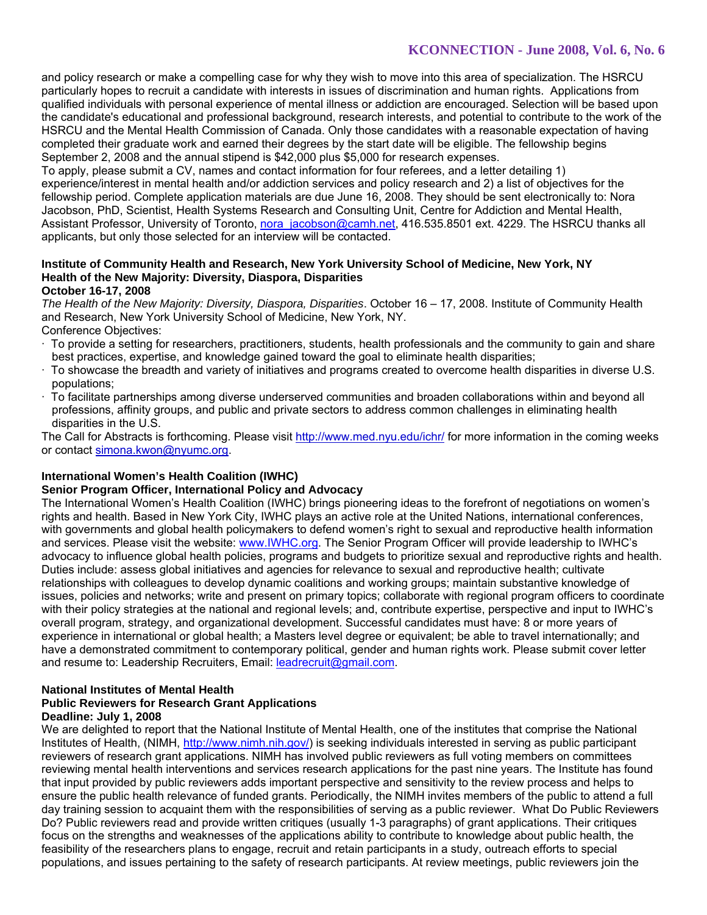and policy research or make a compelling case for why they wish to move into this area of specialization. The HSRCU particularly hopes to recruit a candidate with interests in issues of discrimination and human rights. Applications from qualified individuals with personal experience of mental illness or addiction are encouraged. Selection will be based upon the candidate's educational and professional background, research interests, and potential to contribute to the work of the HSRCU and the Mental Health Commission of Canada. Only those candidates with a reasonable expectation of having completed their graduate work and earned their degrees by the start date will be eligible. The fellowship begins September 2, 2008 and the annual stipend is \$42,000 plus \$5,000 for research expenses.

To apply, please submit a CV, names and contact information for four referees, and a letter detailing 1) experience/interest in mental health and/or addiction services and policy research and 2) a list of objectives for the fellowship period. Complete application materials are due June 16, 2008. They should be sent electronically to: Nora Jacobson, PhD, Scientist, Health Systems Research and Consulting Unit, Centre for Addiction and Mental Health, Assistant Professor, University of Toronto, nora\_jacobson@camh.net, 416.535.8501 ext. 4229. The HSRCU thanks all applicants, but only those selected for an interview will be contacted.

#### **Institute of Community Health and Research, New York University School of Medicine, New York, NY Health of the New Majority: Diversity, Diaspora, Disparities October 16-17, 2008**

*The Health of the New Majority: Diversity, Diaspora, Disparities*. October 16 – 17, 2008. Institute of Community Health and Research, New York University School of Medicine, New York, NY. Conference Objectives:

- · To provide a setting for researchers, practitioners, students, health professionals and the community to gain and share best practices, expertise, and knowledge gained toward the goal to eliminate health disparities;
- · To showcase the breadth and variety of initiatives and programs created to overcome health disparities in diverse U.S. populations;
- · To facilitate partnerships among diverse underserved communities and broaden collaborations within and beyond all professions, affinity groups, and public and private sectors to address common challenges in eliminating health disparities in the U.S.

The Call for Abstracts is forthcoming. Please visit http://www.med.nyu.edu/ichr/ for more information in the coming weeks or contact simona.kwon@nyumc.org.

## **International Women's Health Coalition (IWHC)**

# **Senior Program Officer, International Policy and Advocacy**

The International Women's Health Coalition (IWHC) brings pioneering ideas to the forefront of negotiations on women's rights and health. Based in New York City, IWHC plays an active role at the United Nations, international conferences, with governments and global health policymakers to defend women's right to sexual and reproductive health information and services. Please visit the website: www.IWHC.org. The Senior Program Officer will provide leadership to IWHC's advocacy to influence global health policies, programs and budgets to prioritize sexual and reproductive rights and health. Duties include: assess global initiatives and agencies for relevance to sexual and reproductive health; cultivate relationships with colleagues to develop dynamic coalitions and working groups; maintain substantive knowledge of issues, policies and networks; write and present on primary topics; collaborate with regional program officers to coordinate with their policy strategies at the national and regional levels; and, contribute expertise, perspective and input to IWHC's overall program, strategy, and organizational development. Successful candidates must have: 8 or more years of experience in international or global health; a Masters level degree or equivalent; be able to travel internationally; and have a demonstrated commitment to contemporary political, gender and human rights work. Please submit cover letter and resume to: Leadership Recruiters, Email: leadrecruit@gmail.com.

### **National Institutes of Mental Health Public Reviewers for Research Grant Applications Deadline: July 1, 2008**

We are delighted to report that the National Institute of Mental Health, one of the institutes that comprise the National Institutes of Health, (NIMH, http://www.nimh.nih.gov/) is seeking individuals interested in serving as public participant reviewers of research grant applications. NIMH has involved public reviewers as full voting members on committees reviewing mental health interventions and services research applications for the past nine years. The Institute has found that input provided by public reviewers adds important perspective and sensitivity to the review process and helps to ensure the public health relevance of funded grants. Periodically, the NIMH invites members of the public to attend a full day training session to acquaint them with the responsibilities of serving as a public reviewer. What Do Public Reviewers Do? Public reviewers read and provide written critiques (usually 1-3 paragraphs) of grant applications. Their critiques focus on the strengths and weaknesses of the applications ability to contribute to knowledge about public health, the feasibility of the researchers plans to engage, recruit and retain participants in a study, outreach efforts to special populations, and issues pertaining to the safety of research participants. At review meetings, public reviewers join the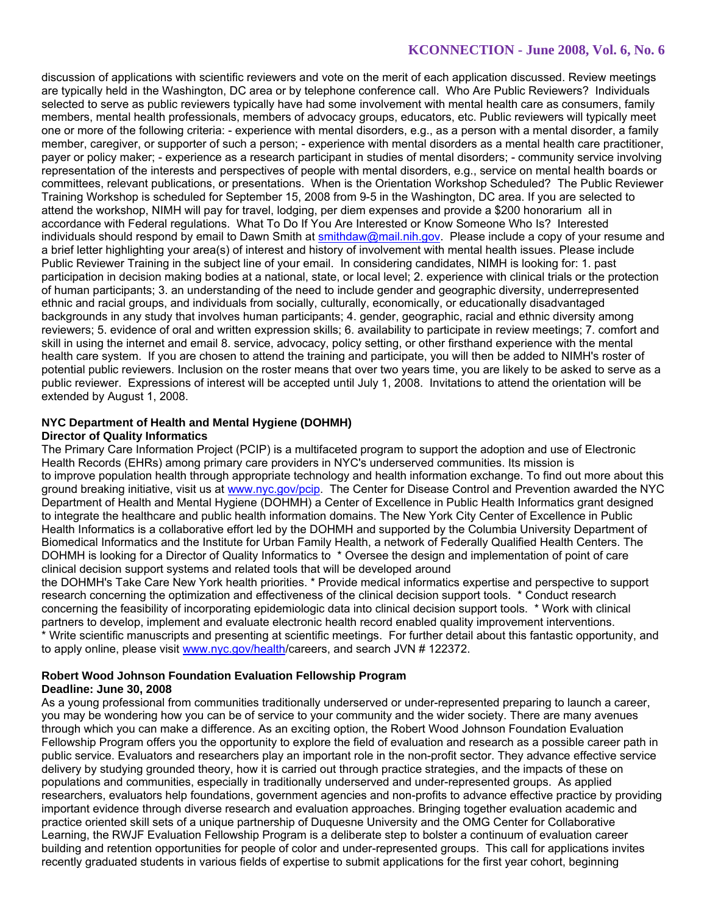discussion of applications with scientific reviewers and vote on the merit of each application discussed. Review meetings are typically held in the Washington, DC area or by telephone conference call. Who Are Public Reviewers? Individuals selected to serve as public reviewers typically have had some involvement with mental health care as consumers, family members, mental health professionals, members of advocacy groups, educators, etc. Public reviewers will typically meet one or more of the following criteria: - experience with mental disorders, e.g., as a person with a mental disorder, a family member, caregiver, or supporter of such a person; - experience with mental disorders as a mental health care practitioner, payer or policy maker; - experience as a research participant in studies of mental disorders; - community service involving representation of the interests and perspectives of people with mental disorders, e.g., service on mental health boards or committees, relevant publications, or presentations. When is the Orientation Workshop Scheduled? The Public Reviewer Training Workshop is scheduled for September 15, 2008 from 9-5 in the Washington, DC area. If you are selected to attend the workshop, NIMH will pay for travel, lodging, per diem expenses and provide a \$200 honorarium all in accordance with Federal regulations. What To Do If You Are Interested or Know Someone Who Is? Interested individuals should respond by email to Dawn Smith at smithdaw@mail.nih.gov. Please include a copy of your resume and a brief letter highlighting your area(s) of interest and history of involvement with mental health issues. Please include Public Reviewer Training in the subject line of your email. In considering candidates, NIMH is looking for: 1. past participation in decision making bodies at a national, state, or local level; 2. experience with clinical trials or the protection of human participants; 3. an understanding of the need to include gender and geographic diversity, underrepresented ethnic and racial groups, and individuals from socially, culturally, economically, or educationally disadvantaged backgrounds in any study that involves human participants; 4. gender, geographic, racial and ethnic diversity among reviewers; 5. evidence of oral and written expression skills; 6. availability to participate in review meetings; 7. comfort and skill in using the internet and email 8. service, advocacy, policy setting, or other firsthand experience with the mental health care system. If you are chosen to attend the training and participate, you will then be added to NIMH's roster of potential public reviewers. Inclusion on the roster means that over two years time, you are likely to be asked to serve as a public reviewer. Expressions of interest will be accepted until July 1, 2008. Invitations to attend the orientation will be extended by August 1, 2008.

#### **NYC Department of Health and Mental Hygiene (DOHMH) Director of Quality Informatics**

The Primary Care Information Project (PCIP) is a multifaceted program to support the adoption and use of Electronic Health Records (EHRs) among primary care providers in NYC's underserved communities. Its mission is to improve population health through appropriate technology and health information exchange. To find out more about this ground breaking initiative, visit us at www.nyc.gov/pcip. The Center for Disease Control and Prevention awarded the NYC Department of Health and Mental Hygiene (DOHMH) a Center of Excellence in Public Health Informatics grant designed to integrate the healthcare and public health information domains. The New York City Center of Excellence in Public Health Informatics is a collaborative effort led by the DOHMH and supported by the Columbia University Department of Biomedical Informatics and the Institute for Urban Family Health, a network of Federally Qualified Health Centers. The DOHMH is looking for a Director of Quality Informatics to \* Oversee the design and implementation of point of care clinical decision support systems and related tools that will be developed around

the DOHMH's Take Care New York health priorities. \* Provide medical informatics expertise and perspective to support research concerning the optimization and effectiveness of the clinical decision support tools. \* Conduct research concerning the feasibility of incorporating epidemiologic data into clinical decision support tools. \* Work with clinical partners to develop, implement and evaluate electronic health record enabled quality improvement interventions. \* Write scientific manuscripts and presenting at scientific meetings. For further detail about this fantastic opportunity, and to apply online, please visit www.nyc.gov/health/careers, and search JVN # 122372.

#### **Robert Wood Johnson Foundation Evaluation Fellowship Program Deadline: June 30, 2008**

As a young professional from communities traditionally underserved or under-represented preparing to launch a career, you may be wondering how you can be of service to your community and the wider society. There are many avenues through which you can make a difference. As an exciting option, the Robert Wood Johnson Foundation Evaluation Fellowship Program offers you the opportunity to explore the field of evaluation and research as a possible career path in public service. Evaluators and researchers play an important role in the non-profit sector. They advance effective service delivery by studying grounded theory, how it is carried out through practice strategies, and the impacts of these on populations and communities, especially in traditionally underserved and under-represented groups. As applied researchers, evaluators help foundations, government agencies and non-profits to advance effective practice by providing important evidence through diverse research and evaluation approaches. Bringing together evaluation academic and practice oriented skill sets of a unique partnership of Duquesne University and the OMG Center for Collaborative Learning, the RWJF Evaluation Fellowship Program is a deliberate step to bolster a continuum of evaluation career building and retention opportunities for people of color and under-represented groups. This call for applications invites recently graduated students in various fields of expertise to submit applications for the first year cohort, beginning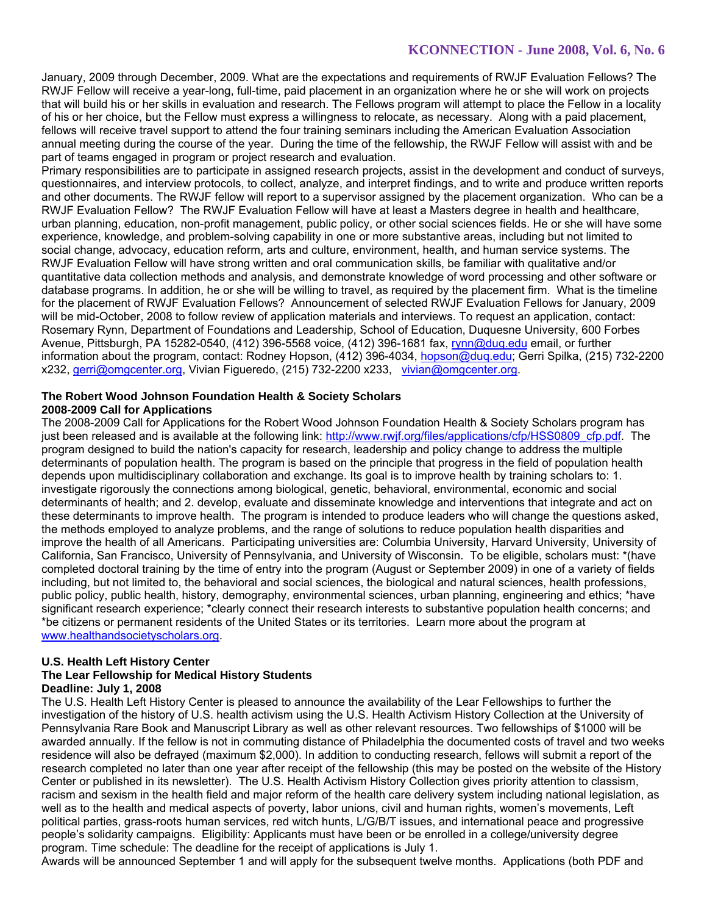January, 2009 through December, 2009. What are the expectations and requirements of RWJF Evaluation Fellows? The RWJF Fellow will receive a year-long, full-time, paid placement in an organization where he or she will work on projects that will build his or her skills in evaluation and research. The Fellows program will attempt to place the Fellow in a locality of his or her choice, but the Fellow must express a willingness to relocate, as necessary. Along with a paid placement, fellows will receive travel support to attend the four training seminars including the American Evaluation Association annual meeting during the course of the year. During the time of the fellowship, the RWJF Fellow will assist with and be part of teams engaged in program or project research and evaluation.

Primary responsibilities are to participate in assigned research projects, assist in the development and conduct of surveys, questionnaires, and interview protocols, to collect, analyze, and interpret findings, and to write and produce written reports and other documents. The RWJF fellow will report to a supervisor assigned by the placement organization. Who can be a RWJF Evaluation Fellow? The RWJF Evaluation Fellow will have at least a Masters degree in health and healthcare, urban planning, education, non-profit management, public policy, or other social sciences fields. He or she will have some experience, knowledge, and problem-solving capability in one or more substantive areas, including but not limited to social change, advocacy, education reform, arts and culture, environment, health, and human service systems. The RWJF Evaluation Fellow will have strong written and oral communication skills, be familiar with qualitative and/or quantitative data collection methods and analysis, and demonstrate knowledge of word processing and other software or database programs. In addition, he or she will be willing to travel, as required by the placement firm. What is the timeline for the placement of RWJF Evaluation Fellows? Announcement of selected RWJF Evaluation Fellows for January, 2009 will be mid-October, 2008 to follow review of application materials and interviews. To request an application, contact: Rosemary Rynn, Department of Foundations and Leadership, School of Education, Duquesne University, 600 Forbes Avenue, Pittsburgh, PA 15282-0540, (412) 396-5568 voice, (412) 396-1681 fax, rynn@duq.edu email, or further information about the program, contact: Rodney Hopson, (412) 396-4034, hopson@duq.edu; Gerri Spilka, (215) 732-2200 x232, gerri@omgcenter.org, Vivian Figueredo, (215) 732-2200 x233, vivian@omgcenter.org.

#### **The Robert Wood Johnson Foundation Health & Society Scholars 2008-2009 Call for Applications**

The 2008-2009 Call for Applications for the Robert Wood Johnson Foundation Health & Society Scholars program has just been released and is available at the following link: http://www.rwif.org/files/applications/cfp/HSS0809\_cfp.pdf. The program designed to build the nation's capacity for research, leadership and policy change to address the multiple determinants of population health. The program is based on the principle that progress in the field of population health depends upon multidisciplinary collaboration and exchange. Its goal is to improve health by training scholars to: 1. investigate rigorously the connections among biological, genetic, behavioral, environmental, economic and social determinants of health; and 2. develop, evaluate and disseminate knowledge and interventions that integrate and act on these determinants to improve health. The program is intended to produce leaders who will change the questions asked, the methods employed to analyze problems, and the range of solutions to reduce population health disparities and improve the health of all Americans. Participating universities are: Columbia University, Harvard University, University of California, San Francisco, University of Pennsylvania, and University of Wisconsin. To be eligible, scholars must: \*(have completed doctoral training by the time of entry into the program (August or September 2009) in one of a variety of fields including, but not limited to, the behavioral and social sciences, the biological and natural sciences, health professions, public policy, public health, history, demography, environmental sciences, urban planning, engineering and ethics; \*have significant research experience; \*clearly connect their research interests to substantive population health concerns; and \*be citizens or permanent residents of the United States or its territories. Learn more about the program at www.healthandsocietyscholars.org.

#### **U.S. Health Left History Center The Lear Fellowship for Medical History Students Deadline: July 1, 2008**

The U.S. Health Left History Center is pleased to announce the availability of the Lear Fellowships to further the investigation of the history of U.S. health activism using the U.S. Health Activism History Collection at the University of Pennsylvania Rare Book and Manuscript Library as well as other relevant resources. Two fellowships of \$1000 will be awarded annually. If the fellow is not in commuting distance of Philadelphia the documented costs of travel and two weeks residence will also be defrayed (maximum \$2,000). In addition to conducting research, fellows will submit a report of the research completed no later than one year after receipt of the fellowship (this may be posted on the website of the History Center or published in its newsletter). The U.S. Health Activism History Collection gives priority attention to classism, racism and sexism in the health field and major reform of the health care delivery system including national legislation, as well as to the health and medical aspects of poverty, labor unions, civil and human rights, women's movements, Left political parties, grass-roots human services, red witch hunts, L/G/B/T issues, and international peace and progressive people's solidarity campaigns. Eligibility: Applicants must have been or be enrolled in a college/university degree program. Time schedule: The deadline for the receipt of applications is July 1.

Awards will be announced September 1 and will apply for the subsequent twelve months. Applications (both PDF and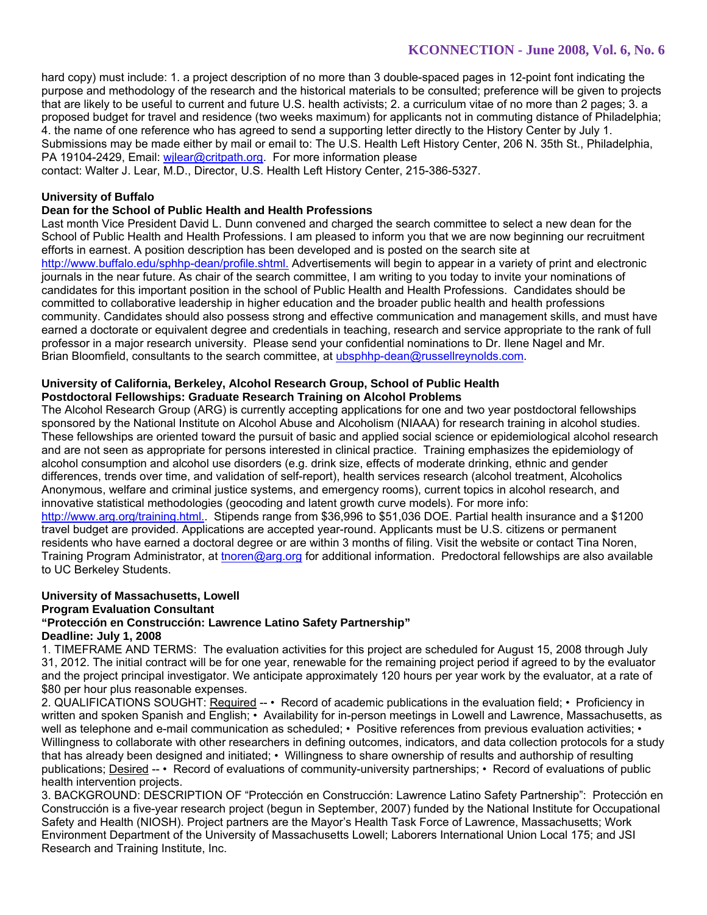hard copy) must include: 1. a project description of no more than 3 double-spaced pages in 12-point font indicating the purpose and methodology of the research and the historical materials to be consulted; preference will be given to projects that are likely to be useful to current and future U.S. health activists; 2. a curriculum vitae of no more than 2 pages; 3. a proposed budget for travel and residence (two weeks maximum) for applicants not in commuting distance of Philadelphia; 4. the name of one reference who has agreed to send a supporting letter directly to the History Center by July 1. Submissions may be made either by mail or email to: The U.S. Health Left History Center, 206 N. 35th St., Philadelphia, PA 19104-2429, Email: wilear@critpath.org. For more information please

contact: Walter J. Lear, M.D., Director, U.S. Health Left History Center, 215-386-5327.

### **University of Buffalo**

## **Dean for the School of Public Health and Health Professions**

Last month Vice President David L. Dunn convened and charged the search committee to select a new dean for the School of Public Health and Health Professions. I am pleased to inform you that we are now beginning our recruitment efforts in earnest. A position description has been developed and is posted on the search site at http://www.buffalo.edu/sphhp-dean/profile.shtml. Advertisements will begin to appear in a variety of print and electronic journals in the near future. As chair of the search committee, I am writing to you today to invite your nominations of candidates for this important position in the school of Public Health and Health Professions. Candidates should be committed to collaborative leadership in higher education and the broader public health and health professions community. Candidates should also possess strong and effective communication and management skills, and must have earned a doctorate or equivalent degree and credentials in teaching, research and service appropriate to the rank of full professor in a major research university. Please send your confidential nominations to Dr. Ilene Nagel and Mr. Brian Bloomfield, consultants to the search committee, at ubsphhp-dean@russellreynolds.com.

#### **University of California, Berkeley, Alcohol Research Group, School of Public Health Postdoctoral Fellowships: Graduate Research Training on Alcohol Problems**

The Alcohol Research Group (ARG) is currently accepting applications for one and two year postdoctoral fellowships sponsored by the National Institute on Alcohol Abuse and Alcoholism (NIAAA) for research training in alcohol studies. These fellowships are oriented toward the pursuit of basic and applied social science or epidemiological alcohol research and are not seen as appropriate for persons interested in clinical practice. Training emphasizes the epidemiology of alcohol consumption and alcohol use disorders (e.g. drink size, effects of moderate drinking, ethnic and gender differences, trends over time, and validation of self-report), health services research (alcohol treatment, Alcoholics Anonymous, welfare and criminal justice systems, and emergency rooms), current topics in alcohol research, and innovative statistical methodologies (geocoding and latent growth curve models). For more info: http://www.arg.org/training.html.. Stipends range from \$36,996 to \$51,036 DOE. Partial health insurance and a \$1200 travel budget are provided. Applications are accepted year-round. Applicants must be U.S. citizens or permanent residents who have earned a doctoral degree or are within 3 months of filing. Visit the website or contact Tina Noren, Training Program Administrator, at tnoren@arg.org for additional information. Predoctoral fellowships are also available to UC Berkeley Students.

## **University of Massachusetts, Lowell**

#### **Program Evaluation Consultant**

# **"Protección en Construcción: Lawrence Latino Safety Partnership"**

# **Deadline: July 1, 2008**

1. TIMEFRAME AND TERMS: The evaluation activities for this project are scheduled for August 15, 2008 through July 31, 2012. The initial contract will be for one year, renewable for the remaining project period if agreed to by the evaluator and the project principal investigator. We anticipate approximately 120 hours per year work by the evaluator, at a rate of \$80 per hour plus reasonable expenses.

2. QUALIFICATIONS SOUGHT: Required -- • Record of academic publications in the evaluation field; • Proficiency in written and spoken Spanish and English; • Availability for in-person meetings in Lowell and Lawrence, Massachusetts, as well as telephone and e-mail communication as scheduled; • Positive references from previous evaluation activities: • Willingness to collaborate with other researchers in defining outcomes, indicators, and data collection protocols for a study that has already been designed and initiated; • Willingness to share ownership of results and authorship of resulting publications; Desired -- • Record of evaluations of community-university partnerships; • Record of evaluations of public health intervention projects.

3. BACKGROUND: DESCRIPTION OF "Protección en Construcción: Lawrence Latino Safety Partnership": Protección en Construcción is a five-year research project (begun in September, 2007) funded by the National Institute for Occupational Safety and Health (NIOSH). Project partners are the Mayor's Health Task Force of Lawrence, Massachusetts; Work Environment Department of the University of Massachusetts Lowell; Laborers International Union Local 175; and JSI Research and Training Institute, Inc.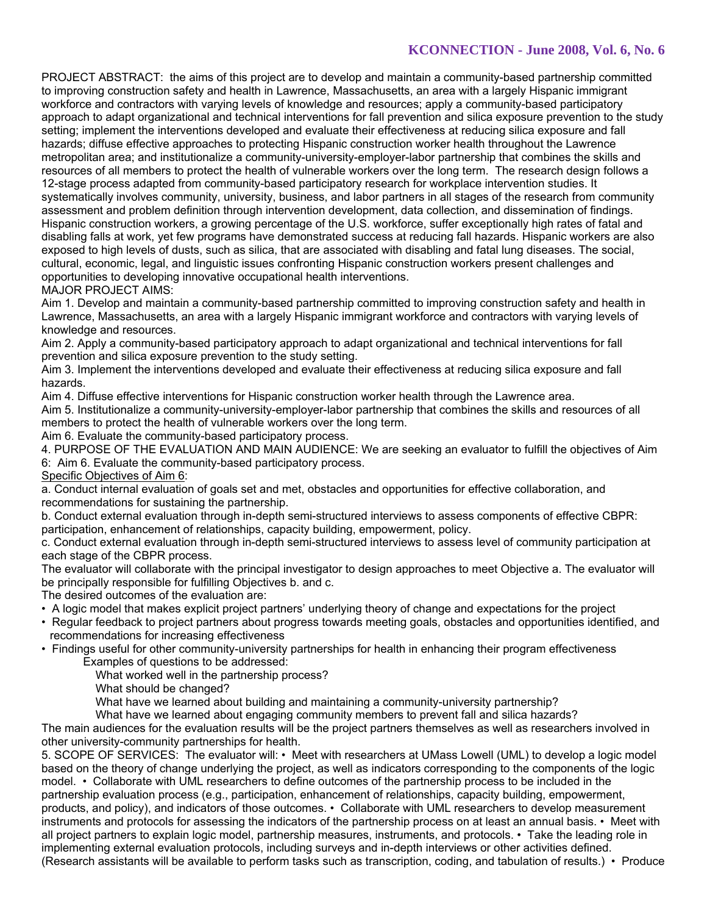PROJECT ABSTRACT: the aims of this project are to develop and maintain a community-based partnership committed to improving construction safety and health in Lawrence, Massachusetts, an area with a largely Hispanic immigrant workforce and contractors with varying levels of knowledge and resources; apply a community-based participatory approach to adapt organizational and technical interventions for fall prevention and silica exposure prevention to the study setting; implement the interventions developed and evaluate their effectiveness at reducing silica exposure and fall hazards; diffuse effective approaches to protecting Hispanic construction worker health throughout the Lawrence metropolitan area; and institutionalize a community-university-employer-labor partnership that combines the skills and resources of all members to protect the health of vulnerable workers over the long term. The research design follows a 12-stage process adapted from community-based participatory research for workplace intervention studies. It systematically involves community, university, business, and labor partners in all stages of the research from community assessment and problem definition through intervention development, data collection, and dissemination of findings. Hispanic construction workers, a growing percentage of the U.S. workforce, suffer exceptionally high rates of fatal and disabling falls at work, yet few programs have demonstrated success at reducing fall hazards. Hispanic workers are also exposed to high levels of dusts, such as silica, that are associated with disabling and fatal lung diseases. The social, cultural, economic, legal, and linguistic issues confronting Hispanic construction workers present challenges and opportunities to developing innovative occupational health interventions. MAJOR PROJECT AIMS:

Aim 1. Develop and maintain a community-based partnership committed to improving construction safety and health in Lawrence, Massachusetts, an area with a largely Hispanic immigrant workforce and contractors with varying levels of knowledge and resources.

Aim 2. Apply a community-based participatory approach to adapt organizational and technical interventions for fall prevention and silica exposure prevention to the study setting.

Aim 3. Implement the interventions developed and evaluate their effectiveness at reducing silica exposure and fall hazards.

Aim 4. Diffuse effective interventions for Hispanic construction worker health through the Lawrence area.

Aim 5. Institutionalize a community-university-employer-labor partnership that combines the skills and resources of all members to protect the health of vulnerable workers over the long term.

Aim 6. Evaluate the community-based participatory process.

4. PURPOSE OF THE EVALUATION AND MAIN AUDIENCE: We are seeking an evaluator to fulfill the objectives of Aim 6: Aim 6. Evaluate the community-based participatory process.

Specific Objectives of Aim 6:

a. Conduct internal evaluation of goals set and met, obstacles and opportunities for effective collaboration, and recommendations for sustaining the partnership.

b. Conduct external evaluation through in-depth semi-structured interviews to assess components of effective CBPR: participation, enhancement of relationships, capacity building, empowerment, policy.

c. Conduct external evaluation through in-depth semi-structured interviews to assess level of community participation at each stage of the CBPR process.

The evaluator will collaborate with the principal investigator to design approaches to meet Objective a. The evaluator will be principally responsible for fulfilling Objectives b. and c.

The desired outcomes of the evaluation are:

- A logic model that makes explicit project partners' underlying theory of change and expectations for the project
- Regular feedback to project partners about progress towards meeting goals, obstacles and opportunities identified, and recommendations for increasing effectiveness
- Findings useful for other community-university partnerships for health in enhancing their program effectiveness Examples of questions to be addressed:

What worked well in the partnership process?

What should be changed?

What have we learned about building and maintaining a community-university partnership?

What have we learned about engaging community members to prevent fall and silica hazards?

The main audiences for the evaluation results will be the project partners themselves as well as researchers involved in other university-community partnerships for health.

5. SCOPE OF SERVICES: The evaluator will: • Meet with researchers at UMass Lowell (UML) to develop a logic model based on the theory of change underlying the project, as well as indicators corresponding to the components of the logic model. • Collaborate with UML researchers to define outcomes of the partnership process to be included in the partnership evaluation process (e.g., participation, enhancement of relationships, capacity building, empowerment, products, and policy), and indicators of those outcomes. • Collaborate with UML researchers to develop measurement instruments and protocols for assessing the indicators of the partnership process on at least an annual basis. • Meet with all project partners to explain logic model, partnership measures, instruments, and protocols. • Take the leading role in implementing external evaluation protocols, including surveys and in-depth interviews or other activities defined. (Research assistants will be available to perform tasks such as transcription, coding, and tabulation of results.) • Produce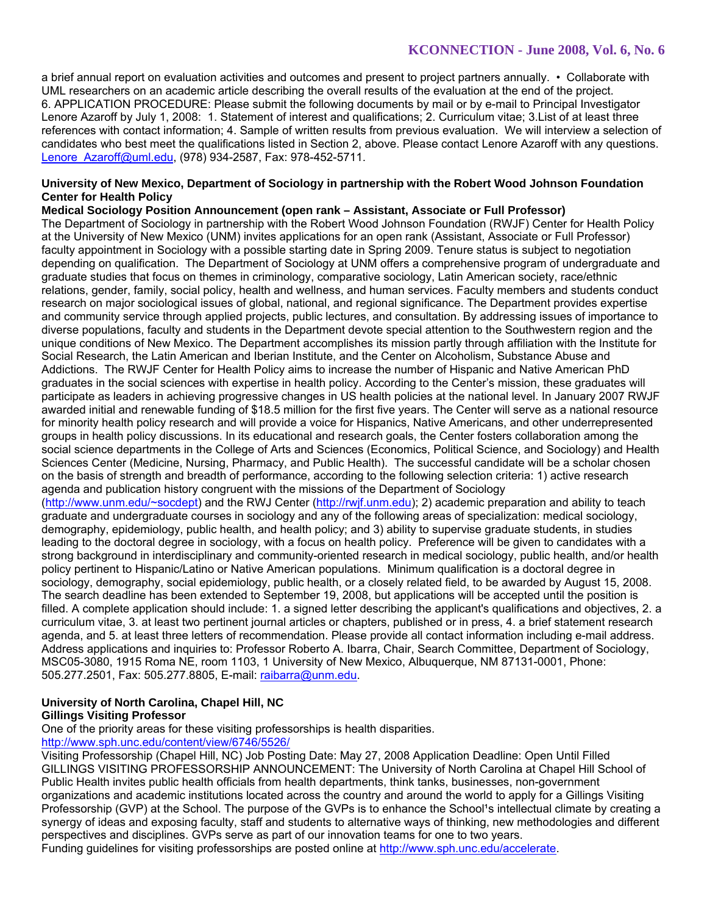a brief annual report on evaluation activities and outcomes and present to project partners annually. • Collaborate with UML researchers on an academic article describing the overall results of the evaluation at the end of the project. 6. APPLICATION PROCEDURE: Please submit the following documents by mail or by e-mail to Principal Investigator Lenore Azaroff by July 1, 2008: 1. Statement of interest and qualifications; 2. Curriculum vitae; 3.List of at least three references with contact information; 4. Sample of written results from previous evaluation. We will interview a selection of candidates who best meet the qualifications listed in Section 2, above. Please contact Lenore Azaroff with any questions. Lenore Azaroff@uml.edu, (978) 934-2587, Fax: 978-452-5711.

### **University of New Mexico, Department of Sociology in partnership with the Robert Wood Johnson Foundation Center for Health Policy**

**Medical Sociology Position Announcement (open rank – Assistant, Associate or Full Professor)**  The Department of Sociology in partnership with the Robert Wood Johnson Foundation (RWJF) Center for Health Policy at the University of New Mexico (UNM) invites applications for an open rank (Assistant, Associate or Full Professor) faculty appointment in Sociology with a possible starting date in Spring 2009. Tenure status is subject to negotiation depending on qualification. The Department of Sociology at UNM offers a comprehensive program of undergraduate and graduate studies that focus on themes in criminology, comparative sociology, Latin American society, race/ethnic relations, gender, family, social policy, health and wellness, and human services. Faculty members and students conduct research on major sociological issues of global, national, and regional significance. The Department provides expertise and community service through applied projects, public lectures, and consultation. By addressing issues of importance to diverse populations, faculty and students in the Department devote special attention to the Southwestern region and the unique conditions of New Mexico. The Department accomplishes its mission partly through affiliation with the Institute for Social Research, the Latin American and Iberian Institute, and the Center on Alcoholism, Substance Abuse and Addictions. The RWJF Center for Health Policy aims to increase the number of Hispanic and Native American PhD graduates in the social sciences with expertise in health policy. According to the Center's mission, these graduates will participate as leaders in achieving progressive changes in US health policies at the national level. In January 2007 RWJF awarded initial and renewable funding of \$18.5 million for the first five years. The Center will serve as a national resource for minority health policy research and will provide a voice for Hispanics, Native Americans, and other underrepresented groups in health policy discussions. In its educational and research goals, the Center fosters collaboration among the social science departments in the College of Arts and Sciences (Economics, Political Science, and Sociology) and Health Sciences Center (Medicine, Nursing, Pharmacy, and Public Health). The successful candidate will be a scholar chosen on the basis of strength and breadth of performance, according to the following selection criteria: 1) active research agenda and publication history congruent with the missions of the Department of Sociology (http://www.unm.edu/~socdept) and the RWJ Center (http://rwjf.unm.edu); 2) academic preparation and ability to teach

graduate and undergraduate courses in sociology and any of the following areas of specialization: medical sociology, demography, epidemiology, public health, and health policy; and 3) ability to supervise graduate students, in studies leading to the doctoral degree in sociology, with a focus on health policy. Preference will be given to candidates with a strong background in interdisciplinary and community-oriented research in medical sociology, public health, and/or health policy pertinent to Hispanic/Latino or Native American populations. Minimum qualification is a doctoral degree in sociology, demography, social epidemiology, public health, or a closely related field, to be awarded by August 15, 2008. The search deadline has been extended to September 19, 2008, but applications will be accepted until the position is filled. A complete application should include: 1. a signed letter describing the applicant's qualifications and objectives, 2. a curriculum vitae, 3. at least two pertinent journal articles or chapters, published or in press, 4. a brief statement research agenda, and 5. at least three letters of recommendation. Please provide all contact information including e-mail address. Address applications and inquiries to: Professor Roberto A. Ibarra, Chair, Search Committee, Department of Sociology, MSC05-3080, 1915 Roma NE, room 1103, 1 University of New Mexico, Albuquerque, NM 87131-0001, Phone: 505.277.2501, Fax: 505.277.8805, E-mail: raibarra@unm.edu.

#### **University of North Carolina, Chapel Hill, NC Gillings Visiting Professor**

One of the priority areas for these visiting professorships is health disparities.

## http://www.sph.unc.edu/content/view/6746/5526/

Visiting Professorship (Chapel Hill, NC) Job Posting Date: May 27, 2008 Application Deadline: Open Until Filled GILLINGS VISITING PROFESSORSHIP ANNOUNCEMENT: The University of North Carolina at Chapel Hill School of Public Health invites public health officials from health departments, think tanks, businesses, non-government organizations and academic institutions located across the country and around the world to apply for a Gillings Visiting Professorship (GVP) at the School. The purpose of the GVPs is to enhance the School's intellectual climate by creating a synergy of ideas and exposing faculty, staff and students to alternative ways of thinking, new methodologies and different perspectives and disciplines. GVPs serve as part of our innovation teams for one to two years.

Funding guidelines for visiting professorships are posted online at http://www.sph.unc.edu/accelerate.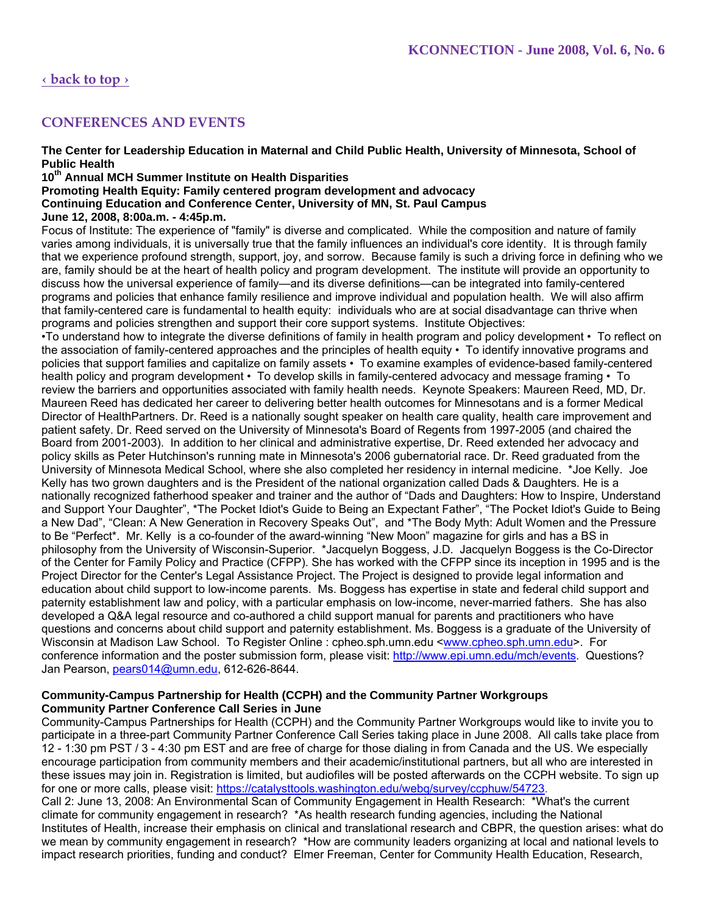# **‹ back to top ›**

# **CONFERENCES AND EVENTS**

#### **The Center for Leadership Education in Maternal and Child Public Health, University of Minnesota, School of Public Health**

**10th Annual MCH Summer Institute on Health Disparities** 

**Promoting Health Equity: Family centered program development and advocacy Continuing Education and Conference Center, University of MN, St. Paul Campus** 

**June 12, 2008, 8:00a.m. - 4:45p.m.** 

Focus of Institute: The experience of "family" is diverse and complicated. While the composition and nature of family varies among individuals, it is universally true that the family influences an individual's core identity. It is through family that we experience profound strength, support, joy, and sorrow. Because family is such a driving force in defining who we are, family should be at the heart of health policy and program development. The institute will provide an opportunity to discuss how the universal experience of family—and its diverse definitions—can be integrated into family-centered programs and policies that enhance family resilience and improve individual and population health. We will also affirm that family-centered care is fundamental to health equity: individuals who are at social disadvantage can thrive when programs and policies strengthen and support their core support systems. Institute Objectives:

•To understand how to integrate the diverse definitions of family in health program and policy development • To reflect on the association of family-centered approaches and the principles of health equity • To identify innovative programs and policies that support families and capitalize on family assets • To examine examples of evidence-based family-centered health policy and program development • To develop skills in family-centered advocacy and message framing • To review the barriers and opportunities associated with family health needs. Keynote Speakers: Maureen Reed, MD, Dr. Maureen Reed has dedicated her career to delivering better health outcomes for Minnesotans and is a former Medical Director of HealthPartners. Dr. Reed is a nationally sought speaker on health care quality, health care improvement and patient safety. Dr. Reed served on the University of Minnesota's Board of Regents from 1997-2005 (and chaired the Board from 2001-2003). In addition to her clinical and administrative expertise, Dr. Reed extended her advocacy and policy skills as Peter Hutchinson's running mate in Minnesota's 2006 gubernatorial race. Dr. Reed graduated from the University of Minnesota Medical School, where she also completed her residency in internal medicine. \*Joe Kelly. Joe Kelly has two grown daughters and is the President of the national organization called Dads & Daughters. He is a nationally recognized fatherhood speaker and trainer and the author of "Dads and Daughters: How to Inspire, Understand and Support Your Daughter", \*The Pocket Idiot's Guide to Being an Expectant Father", "The Pocket Idiot's Guide to Being a New Dad", "Clean: A New Generation in Recovery Speaks Out", and \*The Body Myth: Adult Women and the Pressure to Be "Perfect\*. Mr. Kelly is a co-founder of the award-winning "New Moon" magazine for girls and has a BS in philosophy from the University of Wisconsin-Superior. \*Jacquelyn Boggess, J.D. Jacquelyn Boggess is the Co-Director of the Center for Family Policy and Practice (CFPP). She has worked with the CFPP since its inception in 1995 and is the Project Director for the Center's Legal Assistance Project. The Project is designed to provide legal information and education about child support to low-income parents. Ms. Boggess has expertise in state and federal child support and paternity establishment law and policy, with a particular emphasis on low-income, never-married fathers. She has also developed a Q&A legal resource and co-authored a child support manual for parents and practitioners who have questions and concerns about child support and paternity establishment. Ms. Boggess is a graduate of the University of Wisconsin at Madison Law School. To Register Online : cpheo.sph.umn.edu <www.cpheo.sph.umn.edu>. For conference information and the poster submission form, please visit: http://www.epi.umn.edu/mch/events. Questions? Jan Pearson, pears014@umn.edu, 612-626-8644.

#### **Community-Campus Partnership for Health (CCPH) and the Community Partner Workgroups Community Partner Conference Call Series in June**

Community-Campus Partnerships for Health (CCPH) and the Community Partner Workgroups would like to invite you to participate in a three-part Community Partner Conference Call Series taking place in June 2008. All calls take place from 12 - 1:30 pm PST / 3 - 4:30 pm EST and are free of charge for those dialing in from Canada and the US. We especially encourage participation from community members and their academic/institutional partners, but all who are interested in these issues may join in. Registration is limited, but audiofiles will be posted afterwards on the CCPH website. To sign up for one or more calls, please visit: https://catalysttools.washington.edu/webq/survey/ccphuw/54723. Call 2: June 13, 2008: An Environmental Scan of Community Engagement in Health Research: \*What's the current climate for community engagement in research? \*As health research funding agencies, including the National Institutes of Health, increase their emphasis on clinical and translational research and CBPR, the question arises: what do we mean by community engagement in research? \*How are community leaders organizing at local and national levels to impact research priorities, funding and conduct? Elmer Freeman, Center for Community Health Education, Research,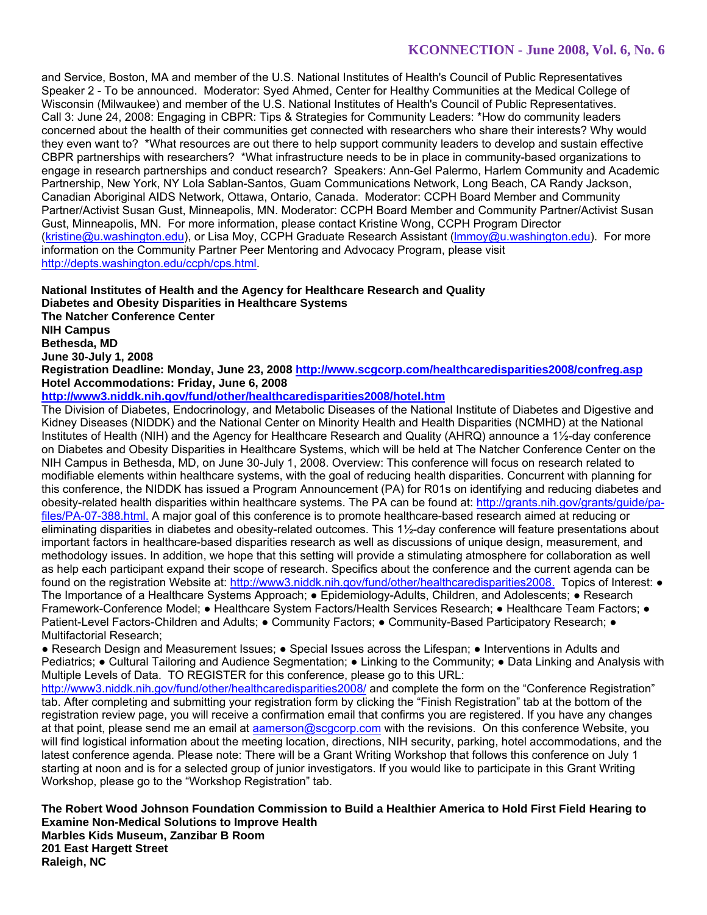and Service, Boston, MA and member of the U.S. National Institutes of Health's Council of Public Representatives Speaker 2 - To be announced. Moderator: Syed Ahmed, Center for Healthy Communities at the Medical College of Wisconsin (Milwaukee) and member of the U.S. National Institutes of Health's Council of Public Representatives. Call 3: June 24, 2008: Engaging in CBPR: Tips & Strategies for Community Leaders: \*How do community leaders concerned about the health of their communities get connected with researchers who share their interests? Why would they even want to? \*What resources are out there to help support community leaders to develop and sustain effective CBPR partnerships with researchers? \*What infrastructure needs to be in place in community-based organizations to engage in research partnerships and conduct research? Speakers: Ann-Gel Palermo, Harlem Community and Academic Partnership, New York, NY Lola Sablan-Santos, Guam Communications Network, Long Beach, CA Randy Jackson, Canadian Aboriginal AIDS Network, Ottawa, Ontario, Canada. Moderator: CCPH Board Member and Community Partner/Activist Susan Gust, Minneapolis, MN. Moderator: CCPH Board Member and Community Partner/Activist Susan Gust, Minneapolis, MN. For more information, please contact Kristine Wong, CCPH Program Director (kristine@u.washington.edu), or Lisa Moy, CCPH Graduate Research Assistant (lmmoy@u.washington.edu). For more information on the Community Partner Peer Mentoring and Advocacy Program, please visit http://depts.washington.edu/ccph/cps.html.

### **National Institutes of Health and the Agency for Healthcare Research and Quality Diabetes and Obesity Disparities in Healthcare Systems The Natcher Conference Center NIH Campus Bethesda, MD June 30-July 1, 2008 Registration Deadline: Monday, June 23, 2008 http://www.scgcorp.com/healthcaredisparities2008/confreg.asp**

**Hotel Accommodations: Friday, June 6, 2008** 

# **http://www3.niddk.nih.gov/fund/other/healthcaredisparities2008/hotel.htm**

The Division of Diabetes, Endocrinology, and Metabolic Diseases of the National Institute of Diabetes and Digestive and Kidney Diseases (NIDDK) and the National Center on Minority Health and Health Disparities (NCMHD) at the National Institutes of Health (NIH) and the Agency for Healthcare Research and Quality (AHRQ) announce a 1½-day conference on Diabetes and Obesity Disparities in Healthcare Systems, which will be held at The Natcher Conference Center on the NIH Campus in Bethesda, MD, on June 30-July 1, 2008. Overview: This conference will focus on research related to modifiable elements within healthcare systems, with the goal of reducing health disparities. Concurrent with planning for this conference, the NIDDK has issued a Program Announcement (PA) for R01s on identifying and reducing diabetes and obesity-related health disparities within healthcare systems. The PA can be found at: http://grants.nih.gov/grants/guide/pafiles/PA-07-388.html. A major goal of this conference is to promote healthcare-based research aimed at reducing or eliminating disparities in diabetes and obesity-related outcomes. This 1½-day conference will feature presentations about important factors in healthcare-based disparities research as well as discussions of unique design, measurement, and methodology issues. In addition, we hope that this setting will provide a stimulating atmosphere for collaboration as well as help each participant expand their scope of research. Specifics about the conference and the current agenda can be found on the registration Website at: http://www3.niddk.nih.gov/fund/other/healthcaredisparities2008. Topics of Interest: ● The Importance of a Healthcare Systems Approach; ● Epidemiology-Adults, Children, and Adolescents; ● Research Framework-Conference Model; ● Healthcare System Factors/Health Services Research; ● Healthcare Team Factors; ● Patient-Level Factors-Children and Adults; . Community Factors; . Community-Based Participatory Research; . Multifactorial Research;

● Research Design and Measurement Issues; ● Special Issues across the Lifespan; ● Interventions in Adults and Pediatrics; • Cultural Tailoring and Audience Segmentation; • Linking to the Community; • Data Linking and Analysis with Multiple Levels of Data. TO REGISTER for this conference, please go to this URL:

http://www3.niddk.nih.gov/fund/other/healthcaredisparities2008/ and complete the form on the "Conference Registration" tab. After completing and submitting your registration form by clicking the "Finish Registration" tab at the bottom of the registration review page, you will receive a confirmation email that confirms you are registered. If you have any changes at that point, please send me an email at aamerson@scgcorp.com with the revisions. On this conference Website, you will find logistical information about the meeting location, directions, NIH security, parking, hotel accommodations, and the latest conference agenda. Please note: There will be a Grant Writing Workshop that follows this conference on July 1 starting at noon and is for a selected group of junior investigators. If you would like to participate in this Grant Writing Workshop, please go to the "Workshop Registration" tab.

**The Robert Wood Johnson Foundation Commission to Build a Healthier America to Hold First Field Hearing to Examine Non-Medical Solutions to Improve Health Marbles Kids Museum, Zanzibar B Room 201 East Hargett Street Raleigh, NC**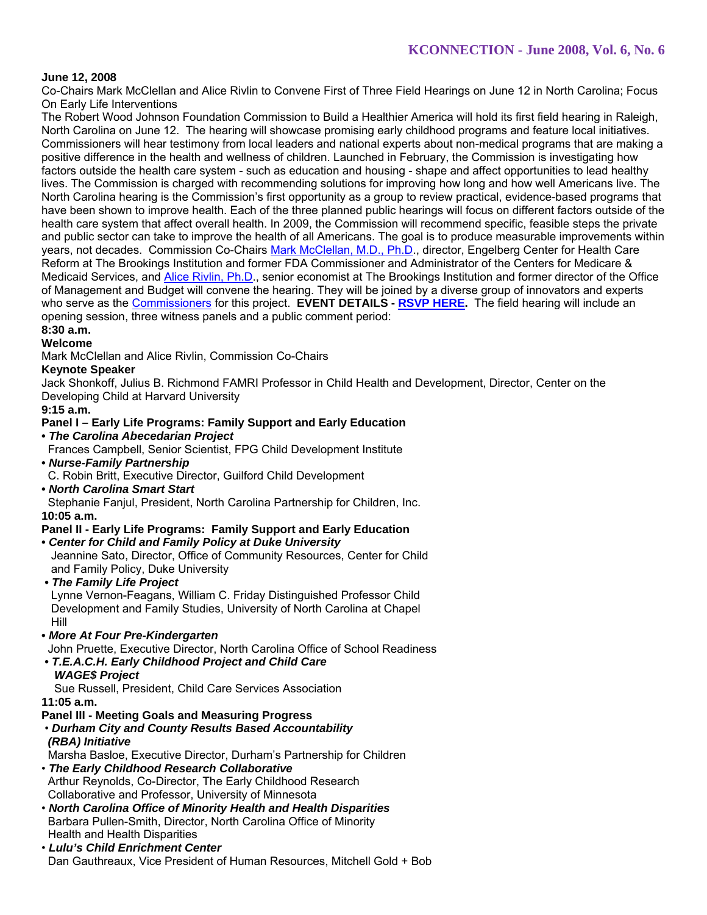# **June 12, 2008**

Co-Chairs Mark McClellan and Alice Rivlin to Convene First of Three Field Hearings on June 12 in North Carolina; Focus On Early Life Interventions

The Robert Wood Johnson Foundation Commission to Build a Healthier America will hold its first field hearing in Raleigh, North Carolina on June 12. The hearing will showcase promising early childhood programs and feature local initiatives. Commissioners will hear testimony from local leaders and national experts about non-medical programs that are making a positive difference in the health and wellness of children. Launched in February, the Commission is investigating how factors outside the health care system - such as education and housing - shape and affect opportunities to lead healthy lives. The Commission is charged with recommending solutions for improving how long and how well Americans live. The North Carolina hearing is the Commission's first opportunity as a group to review practical, evidence-based programs that have been shown to improve health. Each of the three planned public hearings will focus on different factors outside of the health care system that affect overall health. In 2009, the Commission will recommend specific, feasible steps the private and public sector can take to improve the health of all Americans. The goal is to produce measurable improvements within years, not decades. Commission Co-Chairs Mark McClellan, M.D., Ph.D., director, Engelberg Center for Health Care Reform at The Brookings Institution and former FDA Commissioner and Administrator of the Centers for Medicare & Medicaid Services, and Alice Rivlin, Ph.D., senior economist at The Brookings Institution and former director of the Office of Management and Budget will convene the hearing. They will be joined by a diverse group of innovators and experts who serve as the Commissioners for this project. **EVENT DETAILS - RSVP HERE.** The field hearing will include an opening session, three witness panels and a public comment period:

# **8:30 a.m.**

**Welcome** 

Mark McClellan and Alice Rivlin, Commission Co-Chairs

## **Keynote Speaker**

Jack Shonkoff, Julius B. Richmond FAMRI Professor in Child Health and Development, Director, Center on the Developing Child at Harvard University

### **9:15 a.m.**

#### **Panel I – Early Life Programs: Family Support and Early Education •** *The Carolina Abecedarian Project*

Frances Campbell, Senior Scientist, FPG Child Development Institute

- *Nurse-Family Partnership*
- C. Robin Britt, Executive Director, Guilford Child Development
- *North Carolina Smart Start*

 Stephanie Fanjul, President, North Carolina Partnership for Children, Inc. **10:05 a.m.** 

# **Panel II - Early Life Programs: Family Support and Early Education**

## **•** *Center for Child and Family Policy at Duke University*

 Jeannine Sato, Director, Office of Community Resources, Center for Child and Family Policy, Duke University

## **•** *The Family Life Project*

Lynne Vernon-Feagans, William C. Friday Distinguished Professor Child Development and Family Studies, University of North Carolina at Chapel Hill

**•** *More At Four Pre-Kindergarten* 

John Pruette, Executive Director, North Carolina Office of School Readiness

## **•** *T.E.A.C.H. Early Childhood Project and Child Care*

 *WAGE\$ Project*

Sue Russell, President, Child Care Services Association

#### **11:05 a.m.**

- **Panel III Meeting Goals and Measuring Progress**
- *Durham City and County Results Based Accountability (RBA) Initiative*

Marsha Basloe, Executive Director, Durham's Partnership for Children

- *The Early Childhood Research Collaborative* Arthur Reynolds, Co-Director, The Early Childhood Research Collaborative and Professor, University of Minnesota
- *North Carolina Office of Minority Health and Health Disparities*  Barbara Pullen-Smith, Director, North Carolina Office of Minority Health and Health Disparities
- *Lulu's Child Enrichment Center*  Dan Gauthreaux, Vice President of Human Resources, Mitchell Gold + Bob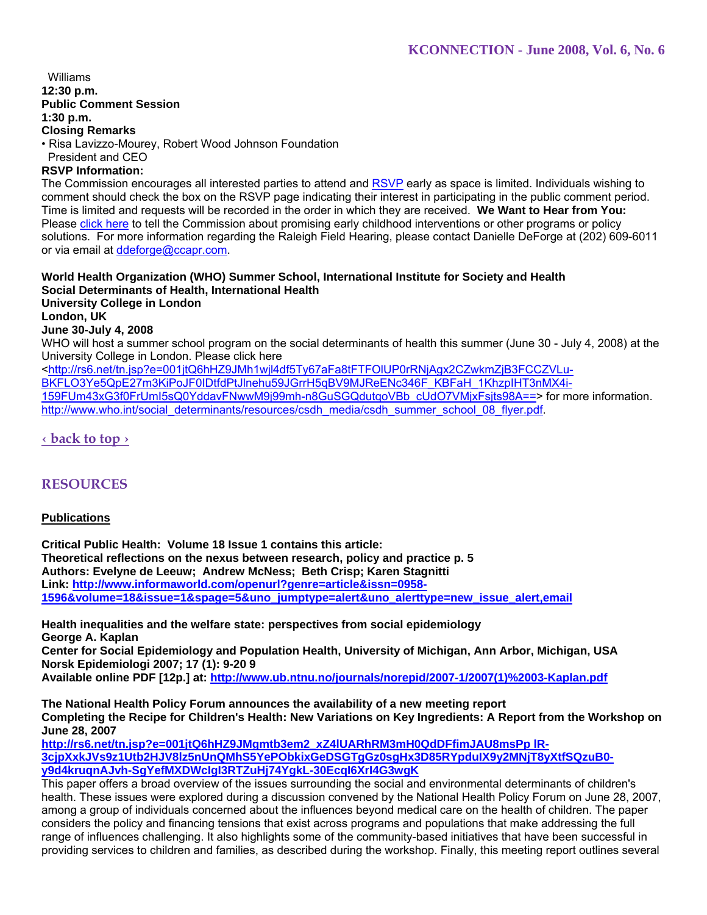Williams **12:30 p.m. Public Comment Session 1:30 p.m. Closing Remarks**  • Risa Lavizzo-Mourey, Robert Wood Johnson Foundation President and CEO

# **RSVP Information:**

The Commission encourages all interested parties to attend and **RSVP** early as space is limited. Individuals wishing to comment should check the box on the RSVP page indicating their interest in participating in the public comment period. Time is limited and requests will be recorded in the order in which they are received. **We Want to Hear from You:**  Please click here to tell the Commission about promising early childhood interventions or other programs or policy solutions. For more information regarding the Raleigh Field Hearing, please contact Danielle DeForge at (202) 609-6011 or via email at ddeforge@ccapr.com.

### **World Health Organization (WHO) Summer School, International Institute for Society and Health Social Determinants of Health, International Health University College in London**

**London, UK** 

### **June 30-July 4, 2008**

WHO will host a summer school program on the social determinants of health this summer (June 30 - July 4, 2008) at the University College in London. Please click here

<http://rs6.net/tn.jsp?e=001jtQ6hHZ9JMh1wjl4df5Ty67aFa8tFTFOlUP0rRNjAgx2CZwkmZjB3FCCZVLu-BKFLO3Ye5QpE27m3KiPoJF0IDtfdPtJlnehu59JGrrH5qBV9MJReENc346F\_KBFaH\_1KhzpIHT3nMX4i-159FUm43xG3f0FrUmI5sQ0YddavFNwwM9j99mh-n8GuSGQdutqoVBb\_cUdO7VMjxFsjts98A==> for more information. http://www.who.int/social\_determinants/resources/csdh\_media/csdh\_summer\_school\_08\_flyer.pdf.

**‹ back to top ›**

# **RESOURCES**

## **Publications**

**Critical Public Health: Volume 18 Issue 1 contains this article: Theoretical reflections on the nexus between research, policy and practice p. 5 Authors: Evelyne de Leeuw; Andrew McNess; Beth Crisp; Karen Stagnitti Link: http://www.informaworld.com/openurl?genre=article&issn=0958- 1596&volume=18&issue=1&spage=5&uno\_jumptype=alert&uno\_alerttype=new\_issue\_alert,email**

**Health inequalities and the welfare state: perspectives from social epidemiology George A. Kaplan Center for Social Epidemiology and Population Health, University of Michigan, Ann Arbor, Michigan, USA Norsk Epidemiologi 2007; 17 (1): 9-20 9** 

**Available online PDF [12p.] at: http://www.ub.ntnu.no/journals/norepid/2007-1/2007(1)%2003-Kaplan.pdf**

**The National Health Policy Forum announces the availability of a new meeting report Completing the Recipe for Children's Health: New Variations on Key Ingredients: A Report from the Workshop on June 28, 2007** 

http://rs6.net/tn.jsp?e=001jtQ6hHZ9JMgmtb3em2\_xZ4IUARhRM3mH0QdDFfimJAU8msPp IR-**3cjpXxkJVs9z1Utb2HJV8lz5nUnQMhS5YePObkixGeDSGTgGz0sgHx3D85RYpduIX9y2MNjT8yXtfSQzuB0 y9d4kruqnAJvh-SgYefMXDWcIgI3RTZuHj74YgkL-30EcqI6XrI4G3wgK**

This paper offers a broad overview of the issues surrounding the social and environmental determinants of children's health. These issues were explored during a discussion convened by the National Health Policy Forum on June 28, 2007, among a group of individuals concerned about the influences beyond medical care on the health of children. The paper considers the policy and financing tensions that exist across programs and populations that make addressing the full range of influences challenging. It also highlights some of the community-based initiatives that have been successful in providing services to children and families, as described during the workshop. Finally, this meeting report outlines several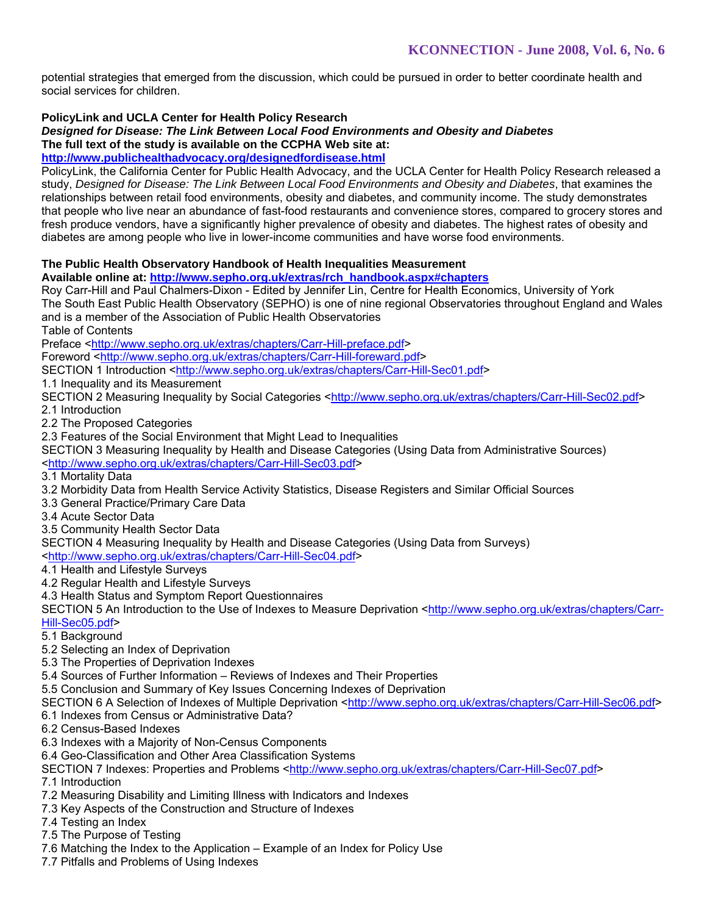potential strategies that emerged from the discussion, which could be pursued in order to better coordinate health and social services for children.

### **PolicyLink and UCLA Center for Health Policy Research**

*Designed for Disease: The Link Between Local Food Environments and Obesity and Diabetes*  **The full text of the study is available on the CCPHA Web site at: http://www.publichealthadvocacy.org/designedfordisease.html**

PolicyLink, the California Center for Public Health Advocacy, and the UCLA Center for Health Policy Research released a study, *Designed for Disease: The Link Between Local Food Environments and Obesity and Diabetes*, that examines the relationships between retail food environments, obesity and diabetes, and community income. The study demonstrates that people who live near an abundance of fast-food restaurants and convenience stores, compared to grocery stores and fresh produce vendors, have a significantly higher prevalence of obesity and diabetes. The highest rates of obesity and diabetes are among people who live in lower-income communities and have worse food environments.

## **The Public Health Observatory Handbook of Health Inequalities Measurement**

**Available online at: http://www.sepho.org.uk/extras/rch\_handbook.aspx#chapters** 

Roy Carr-Hill and Paul Chalmers-Dixon - Edited by Jennifer Lin, Centre for Health Economics, University of York The South East Public Health Observatory (SEPHO) is one of nine regional Observatories throughout England and Wales and is a member of the Association of Public Health Observatories

Table of Contents

Preface <http://www.sepho.org.uk/extras/chapters/Carr-Hill-preface.pdf>

Foreword <http://www.sepho.org.uk/extras/chapters/Carr-Hill-foreward.pdf>

SECTION 1 Introduction <http://www.sepho.org.uk/extras/chapters/Carr-Hill-Sec01.pdf>

1.1 Inequality and its Measurement

SECTION 2 Measuring Inequality by Social Categories <http://www.sepho.org.uk/extras/chapters/Carr-Hill-Sec02.pdf>

2.1 Introduction

2.2 The Proposed Categories

2.3 Features of the Social Environment that Might Lead to Inequalities

SECTION 3 Measuring Inequality by Health and Disease Categories (Using Data from Administrative Sources) <http://www.sepho.org.uk/extras/chapters/Carr-Hill-Sec03.pdf>

3.1 Mortality Data

3.2 Morbidity Data from Health Service Activity Statistics, Disease Registers and Similar Official Sources

3.3 General Practice/Primary Care Data

3.4 Acute Sector Data

3.5 Community Health Sector Data

SECTION 4 Measuring Inequality by Health and Disease Categories (Using Data from Surveys) <http://www.sepho.org.uk/extras/chapters/Carr-Hill-Sec04.pdf>

4.1 Health and Lifestyle Surveys

4.2 Regular Health and Lifestyle Surveys

4.3 Health Status and Symptom Report Questionnaires

SECTION 5 An Introduction to the Use of Indexes to Measure Deprivation <http://www.sepho.org.uk/extras/chapters/Carr-Hill-Sec05.pdf>

5.1 Background

5.2 Selecting an Index of Deprivation

5.3 The Properties of Deprivation Indexes

5.4 Sources of Further Information – Reviews of Indexes and Their Properties

5.5 Conclusion and Summary of Key Issues Concerning Indexes of Deprivation

SECTION 6 A Selection of Indexes of Multiple Deprivation <http://www.sepho.org.uk/extras/chapters/Carr-Hill-Sec06.pdf>

6.1 Indexes from Census or Administrative Data?

6.2 Census-Based Indexes

6.3 Indexes with a Majority of Non-Census Components

6.4 Geo-Classification and Other Area Classification Systems

SECTION 7 Indexes: Properties and Problems <http://www.sepho.org.uk/extras/chapters/Carr-Hill-Sec07.pdf>

7.1 Introduction

- 7.2 Measuring Disability and Limiting Illness with Indicators and Indexes
- 7.3 Key Aspects of the Construction and Structure of Indexes

7.4 Testing an Index

7.5 The Purpose of Testing

7.6 Matching the Index to the Application – Example of an Index for Policy Use

7.7 Pitfalls and Problems of Using Indexes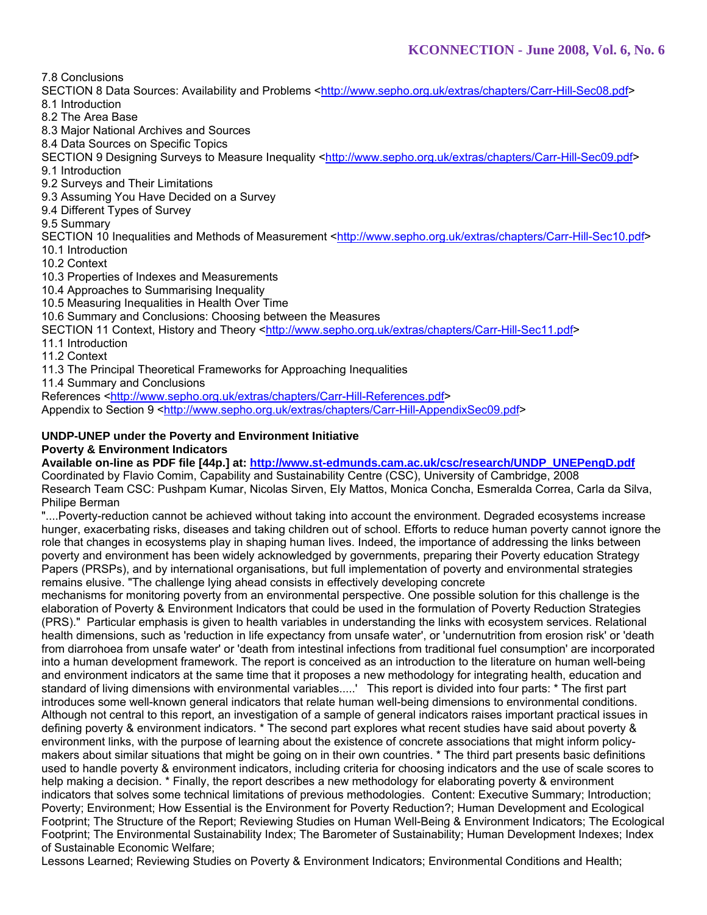7.8 Conclusions

- SECTION 8 Data Sources: Availability and Problems <http://www.sepho.org.uk/extras/chapters/Carr-Hill-Sec08.pdf>
- 8.1 Introduction
- 8.2 The Area Base
- 8.3 Major National Archives and Sources
- 8.4 Data Sources on Specific Topics

SECTION 9 Designing Surveys to Measure Inequality <http://www.sepho.org.uk/extras/chapters/Carr-Hill-Sec09.pdf> 9.1 Introduction

- 9.2 Surveys and Their Limitations
- 9.3 Assuming You Have Decided on a Survey
- 9.4 Different Types of Survey

9.5 Summary

SECTION 10 Inequalities and Methods of Measurement <http://www.sepho.org.uk/extras/chapters/Carr-Hill-Sec10.pdf> 10.1 Introduction

- 10.2 Context
- 10.3 Properties of Indexes and Measurements
- 10.4 Approaches to Summarising Inequality
- 10.5 Measuring Inequalities in Health Over Time

10.6 Summary and Conclusions: Choosing between the Measures

SECTION 11 Context, History and Theory <http://www.sepho.org.uk/extras/chapters/Carr-Hill-Sec11.pdf>

- 11.1 Introduction
- 11.2 Context
- 11.3 The Principal Theoretical Frameworks for Approaching Inequalities
- 11.4 Summary and Conclusions

References <http://www.sepho.org.uk/extras/chapters/Carr-Hill-References.pdf>

Appendix to Section 9 <http://www.sepho.org.uk/extras/chapters/Carr-Hill-AppendixSec09.pdf>

#### **UNDP-UNEP under the Poverty and Environment Initiative Poverty & Environment Indicators**

**Available on-line as PDF file [44p.] at: http://www.st-edmunds.cam.ac.uk/csc/research/UNDP\_UNEPengD.pdf**  Coordinated by Flavio Comim, Capability and Sustainability Centre (CSC), University of Cambridge, 2008 Research Team CSC: Pushpam Kumar, Nicolas Sirven, Ely Mattos, Monica Concha, Esmeralda Correa, Carla da Silva, Philipe Berman

"....Poverty-reduction cannot be achieved without taking into account the environment. Degraded ecosystems increase hunger, exacerbating risks, diseases and taking children out of school. Efforts to reduce human poverty cannot ignore the role that changes in ecosystems play in shaping human lives. Indeed, the importance of addressing the links between poverty and environment has been widely acknowledged by governments, preparing their Poverty education Strategy Papers (PRSPs), and by international organisations, but full implementation of poverty and environmental strategies remains elusive. "The challenge lying ahead consists in effectively developing concrete

mechanisms for monitoring poverty from an environmental perspective. One possible solution for this challenge is the elaboration of Poverty & Environment Indicators that could be used in the formulation of Poverty Reduction Strategies (PRS)." Particular emphasis is given to health variables in understanding the links with ecosystem services. Relational health dimensions, such as 'reduction in life expectancy from unsafe water', or 'undernutrition from erosion risk' or 'death from diarrohoea from unsafe water' or 'death from intestinal infections from traditional fuel consumption' are incorporated into a human development framework. The report is conceived as an introduction to the literature on human well-being and environment indicators at the same time that it proposes a new methodology for integrating health, education and standard of living dimensions with environmental variables.....' This report is divided into four parts: \* The first part introduces some well-known general indicators that relate human well-being dimensions to environmental conditions. Although not central to this report, an investigation of a sample of general indicators raises important practical issues in defining poverty & environment indicators. \* The second part explores what recent studies have said about poverty & environment links, with the purpose of learning about the existence of concrete associations that might inform policymakers about similar situations that might be going on in their own countries. \* The third part presents basic definitions used to handle poverty & environment indicators, including criteria for choosing indicators and the use of scale scores to help making a decision. \* Finally, the report describes a new methodology for elaborating poverty & environment indicators that solves some technical limitations of previous methodologies. Content: Executive Summary; Introduction; Poverty; Environment; How Essential is the Environment for Poverty Reduction?; Human Development and Ecological Footprint; The Structure of the Report; Reviewing Studies on Human Well-Being & Environment Indicators; The Ecological Footprint; The Environmental Sustainability Index; The Barometer of Sustainability; Human Development Indexes; Index of Sustainable Economic Welfare;

Lessons Learned; Reviewing Studies on Poverty & Environment Indicators; Environmental Conditions and Health;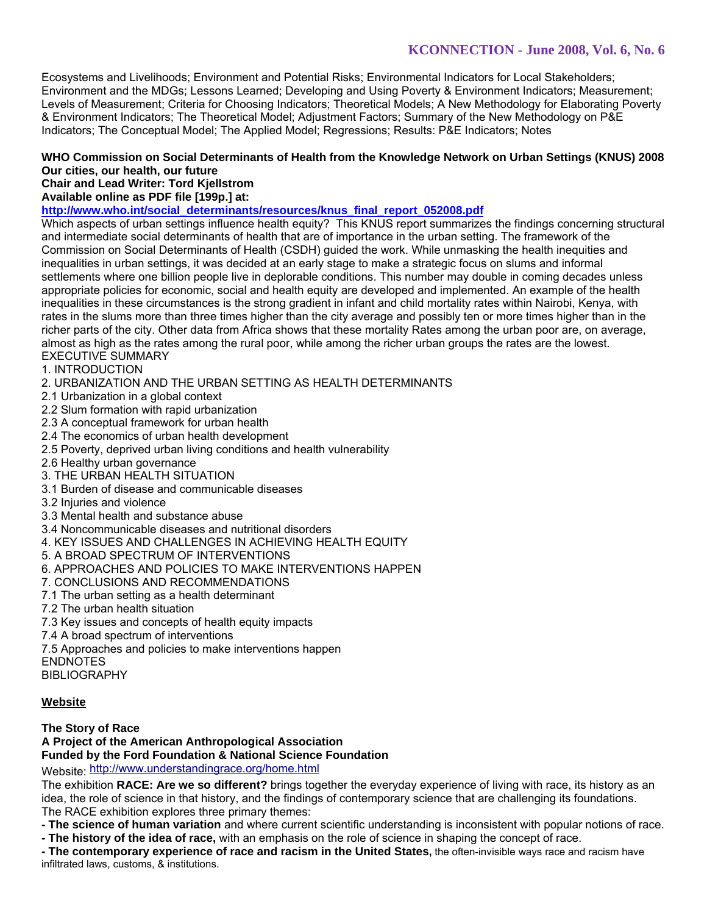Ecosystems and Livelihoods; Environment and Potential Risks; Environmental Indicators for Local Stakeholders; Environment and the MDGs; Lessons Learned; Developing and Using Poverty & Environment Indicators; Measurement; Levels of Measurement; Criteria for Choosing Indicators; Theoretical Models; A New Methodology for Elaborating Poverty & Environment Indicators; The Theoretical Model; Adjustment Factors; Summary of the New Methodology on P&E Indicators; The Conceptual Model; The Applied Model; Regressions; Results: P&E Indicators; Notes

# **WHO Commission on Social Determinants of Health from the Knowledge Network on Urban Settings (KNUS) 2008 Our cities, our health, our future**

# **Chair and Lead Writer: Tord Kjellstrom**

**Available online as PDF file [199p.] at:** 

**http://www.who.int/social\_determinants/resources/knus\_final\_report\_052008.pdf**

Which aspects of urban settings influence health equity? This KNUS report summarizes the findings concerning structural and intermediate social determinants of health that are of importance in the urban setting. The framework of the Commission on Social Determinants of Health (CSDH) guided the work. While unmasking the health inequities and inequalities in urban settings, it was decided at an early stage to make a strategic focus on slums and informal settlements where one billion people live in deplorable conditions. This number may double in coming decades unless appropriate policies for economic, social and health equity are developed and implemented. An example of the health inequalities in these circumstances is the strong gradient in infant and child mortality rates within Nairobi, Kenya, with rates in the slums more than three times higher than the city average and possibly ten or more times higher than in the richer parts of the city. Other data from Africa shows that these mortality Rates among the urban poor are, on average, almost as high as the rates among the rural poor, while among the richer urban groups the rates are the lowest. EXECUTIVE SUMMARY

1. INTRODUCTION

2. URBANIZATION AND THE URBAN SETTING AS HEALTH DETERMINANTS

- 2.1 Urbanization in a global context
- 2.2 Slum formation with rapid urbanization
- 2.3 A conceptual framework for urban health
- 2.4 The economics of urban health development
- 2.5 Poverty, deprived urban living conditions and health vulnerability
- 2.6 Healthy urban governance
- 3. THE URBAN HEALTH SITUATION
- 3.1 Burden of disease and communicable diseases
- 3.2 Injuries and violence
- 3.3 Mental health and substance abuse
- 3.4 Noncommunicable diseases and nutritional disorders
- 4. KEY ISSUES AND CHALLENGES IN ACHIEVING HEALTH EQUITY
- 5. A BROAD SPECTRUM OF INTERVENTIONS
- 6. APPROACHES AND POLICIES TO MAKE INTERVENTIONS HAPPEN
- 7. CONCLUSIONS AND RECOMMENDATIONS
- 7.1 The urban setting as a health determinant
- 7.2 The urban health situation
- 7.3 Key issues and concepts of health equity impacts
- 7.4 A broad spectrum of interventions
- 7.5 Approaches and policies to make interventions happen

ENDNOTES

BIBLIOGRAPHY

### **Website**

**The Story of Race** 

**A Project of the American Anthropological Association Funded by the Ford Foundation & National Science Foundation**  Website: http://www.understandingrace.org/home.html

The exhibition **RACE: Are we so different?** brings together the everyday experience of living with race, its history as an idea, the role of science in that history, and the findings of contemporary science that are challenging its foundations. The RACE exhibition explores three primary themes:

**- The science of human variation** and where current scientific understanding is inconsistent with popular notions of race.

**- The history of the idea of race,** with an emphasis on the role of science in shaping the concept of race.

**- The contemporary experience of race and racism in the United States,** the often-invisible ways race and racism have infiltrated laws, customs, & institutions.